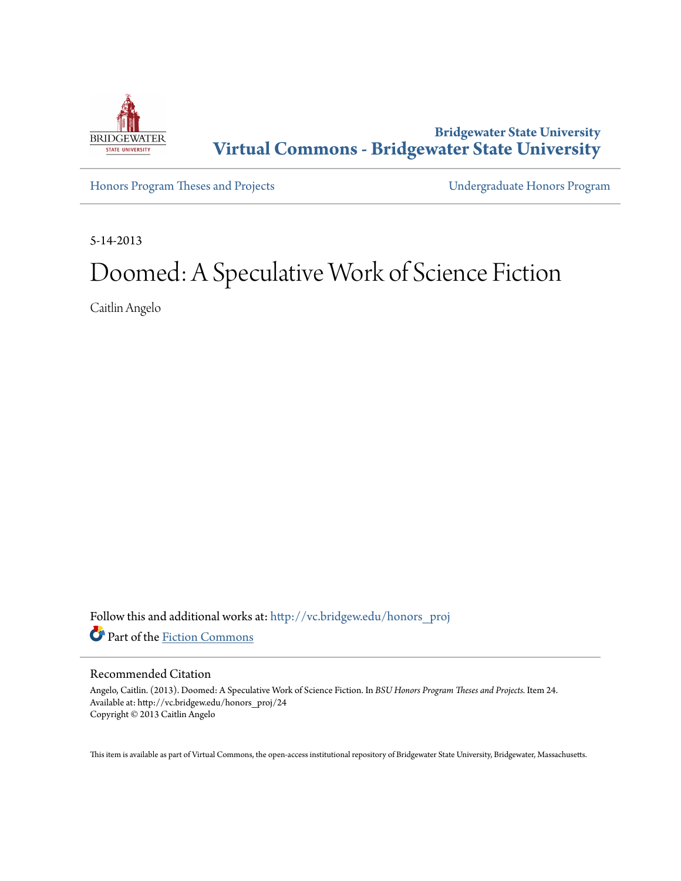

**Bridgewater State University [Virtual Commons - Bridgewater State University](http://vc.bridgew.edu?utm_source=vc.bridgew.edu%2Fhonors_proj%2F24&utm_medium=PDF&utm_campaign=PDFCoverPages)**

[Honors Program Theses and Projects](http://vc.bridgew.edu/honors_proj?utm_source=vc.bridgew.edu%2Fhonors_proj%2F24&utm_medium=PDF&utm_campaign=PDFCoverPages) [Undergraduate Honors Program](http://vc.bridgew.edu/honors?utm_source=vc.bridgew.edu%2Fhonors_proj%2F24&utm_medium=PDF&utm_campaign=PDFCoverPages)

5-14-2013

## Doomed: A Speculative Work of Science Fiction

Caitlin Angelo

Follow this and additional works at: [http://vc.bridgew.edu/honors\\_proj](http://vc.bridgew.edu/honors_proj?utm_source=vc.bridgew.edu%2Fhonors_proj%2F24&utm_medium=PDF&utm_campaign=PDFCoverPages) Part of the [Fiction Commons](http://network.bepress.com/hgg/discipline/1151?utm_source=vc.bridgew.edu%2Fhonors_proj%2F24&utm_medium=PDF&utm_campaign=PDFCoverPages)

## Recommended Citation

Angelo, Caitlin. (2013). Doomed: A Speculative Work of Science Fiction. In *BSU Honors Program Theses and Projects.* Item 24. Available at: http://vc.bridgew.edu/honors\_proj/24 Copyright © 2013 Caitlin Angelo

This item is available as part of Virtual Commons, the open-access institutional repository of Bridgewater State University, Bridgewater, Massachusetts.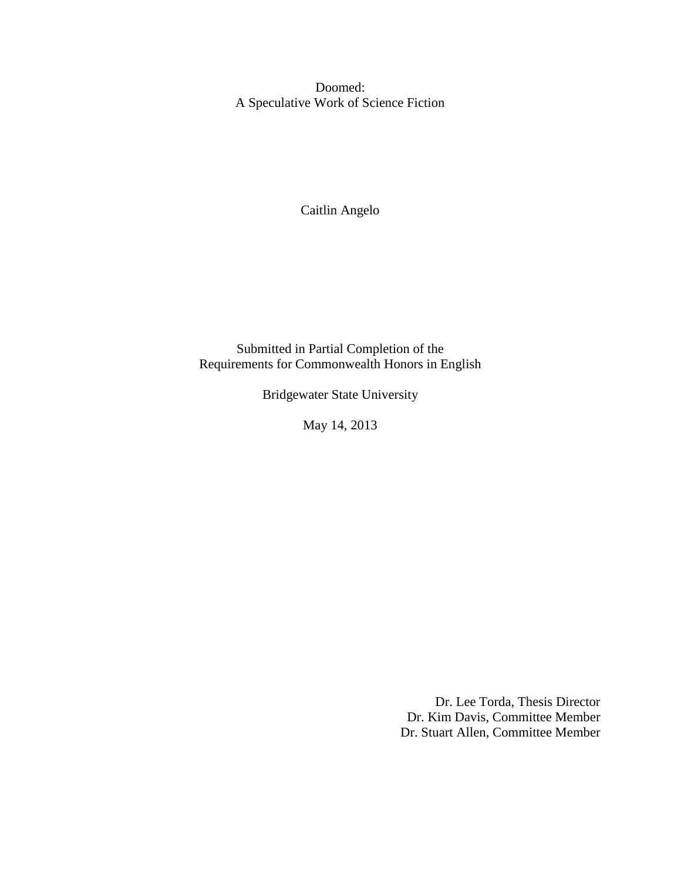Doomed: A Speculative Work of Science Fiction

Caitlin Angelo

Submitted in Partial Completion of the Requirements for Commonwealth Honors in English

Bridgewater State University

May 14, 2013

Dr. Lee Torda, Thesis Director Dr. Kim Davis, Committee Member Dr. Stuart Allen, Committee Member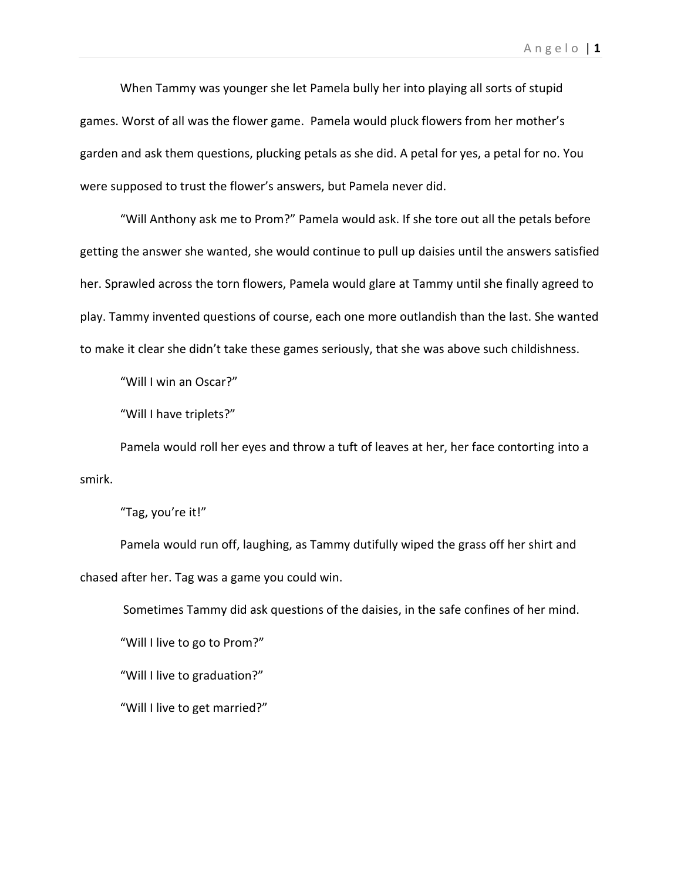When Tammy was younger she let Pamela bully her into playing all sorts of stupid games. Worst of all was the flower game. Pamela would pluck flowers from her mother's garden and ask them questions, plucking petals as she did. A petal for yes, a petal for no. You were supposed to trust the flower's answers, but Pamela never did.

"Will Anthony ask me to Prom?" Pamela would ask. If she tore out all the petals before getting the answer she wanted, she would continue to pull up daisies until the answers satisfied her. Sprawled across the torn flowers, Pamela would glare at Tammy until she finally agreed to play. Tammy invented questions of course, each one more outlandish than the last. She wanted to make it clear she didn't take these games seriously, that she was above such childishness.

"Will I win an Oscar?"

"Will I have triplets?"

Pamela would roll her eyes and throw a tuft of leaves at her, her face contorting into a smirk.

"Tag, you're it!"

Pamela would run off, laughing, as Tammy dutifully wiped the grass off her shirt and chased after her. Tag was a game you could win.

Sometimes Tammy did ask questions of the daisies, in the safe confines of her mind.

"Will I live to go to Prom?"

"Will I live to graduation?"

"Will I live to get married?"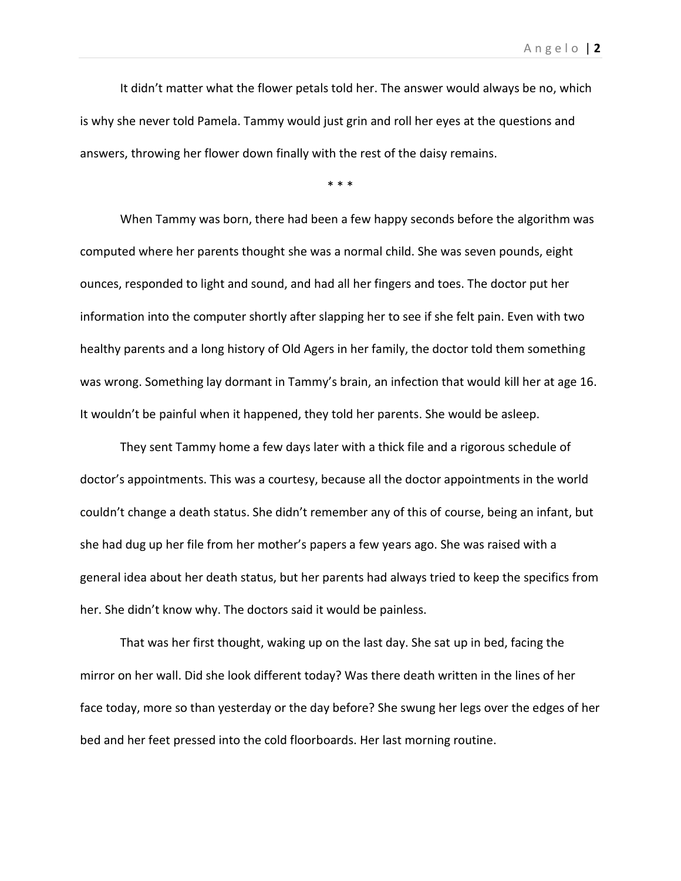It didn't matter what the flower petals told her. The answer would always be no, which is why she never told Pamela. Tammy would just grin and roll her eyes at the questions and answers, throwing her flower down finally with the rest of the daisy remains.

\* \* \*

When Tammy was born, there had been a few happy seconds before the algorithm was computed where her parents thought she was a normal child. She was seven pounds, eight ounces, responded to light and sound, and had all her fingers and toes. The doctor put her information into the computer shortly after slapping her to see if she felt pain. Even with two healthy parents and a long history of Old Agers in her family, the doctor told them something was wrong. Something lay dormant in Tammy's brain, an infection that would kill her at age 16. It wouldn't be painful when it happened, they told her parents. She would be asleep.

They sent Tammy home a few days later with a thick file and a rigorous schedule of doctor's appointments. This was a courtesy, because all the doctor appointments in the world couldn't change a death status. She didn't remember any of this of course, being an infant, but she had dug up her file from her mother's papers a few years ago. She was raised with a general idea about her death status, but her parents had always tried to keep the specifics from her. She didn't know why. The doctors said it would be painless.

That was her first thought, waking up on the last day. She sat up in bed, facing the mirror on her wall. Did she look different today? Was there death written in the lines of her face today, more so than yesterday or the day before? She swung her legs over the edges of her bed and her feet pressed into the cold floorboards. Her last morning routine.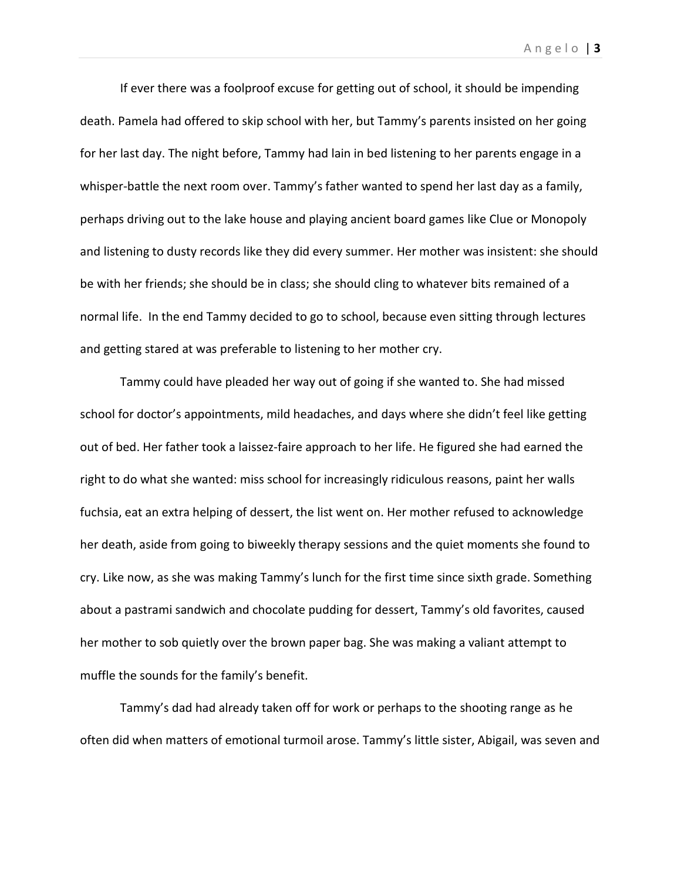If ever there was a foolproof excuse for getting out of school, it should be impending

death. Pamela had offered to skip school with her, but Tammy's parents insisted on her going for her last day. The night before, Tammy had lain in bed listening to her parents engage in a whisper-battle the next room over. Tammy's father wanted to spend her last day as a family, perhaps driving out to the lake house and playing ancient board games like Clue or Monopoly and listening to dusty records like they did every summer. Her mother was insistent: she should be with her friends; she should be in class; she should cling to whatever bits remained of a normal life. In the end Tammy decided to go to school, because even sitting through lectures and getting stared at was preferable to listening to her mother cry.

Tammy could have pleaded her way out of going if she wanted to. She had missed school for doctor's appointments, mild headaches, and days where she didn't feel like getting out of bed. Her father took a laissez-faire approach to her life. He figured she had earned the right to do what she wanted: miss school for increasingly ridiculous reasons, paint her walls fuchsia, eat an extra helping of dessert, the list went on. Her mother refused to acknowledge her death, aside from going to biweekly therapy sessions and the quiet moments she found to cry. Like now, as she was making Tammy's lunch for the first time since sixth grade. Something about a pastrami sandwich and chocolate pudding for dessert, Tammy's old favorites, caused her mother to sob quietly over the brown paper bag. She was making a valiant attempt to muffle the sounds for the family's benefit.

Tammy's dad had already taken off for work or perhaps to the shooting range as he often did when matters of emotional turmoil arose. Tammy's little sister, Abigail, was seven and

A n g e l o | **3**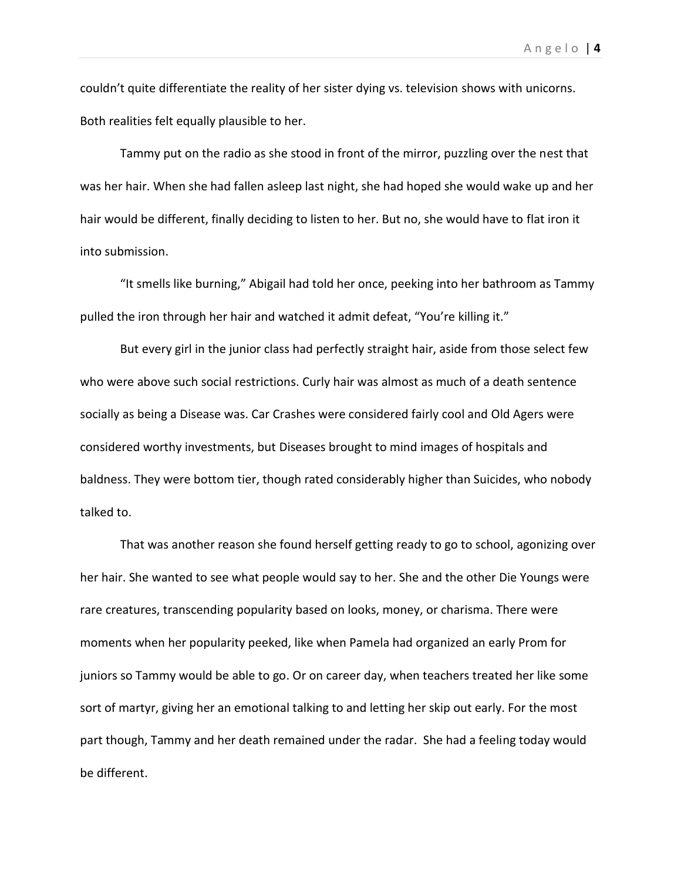couldn't quite differentiate the reality of her sister dying vs. television shows with unicorns. Both realities felt equally plausible to her.

Tammy put on the radio as she stood in front of the mirror, puzzling over the nest that was her hair. When she had fallen asleep last night, she had hoped she would wake up and her hair would be different, finally deciding to listen to her. But no, she would have to flat iron it into submission.

"It smells like burning," Abigail had told her once, peeking into her bathroom as Tammy pulled the iron through her hair and watched it admit defeat, "You're killing it."

But every girl in the junior class had perfectly straight hair, aside from those select few who were above such social restrictions. Curly hair was almost as much of a death sentence socially as being a Disease was. Car Crashes were considered fairly cool and Old Agers were considered worthy investments, but Diseases brought to mind images of hospitals and baldness. They were bottom tier, though rated considerably higher than Suicides, who nobody talked to.

That was another reason she found herself getting ready to go to school, agonizing over her hair. She wanted to see what people would say to her. She and the other Die Youngs were rare creatures, transcending popularity based on looks, money, or charisma. There were moments when her popularity peeked, like when Pamela had organized an early Prom for juniors so Tammy would be able to go. Or on career day, when teachers treated her like some sort of martyr, giving her an emotional talking to and letting her skip out early. For the most part though, Tammy and her death remained under the radar. She had a feeling today would be different.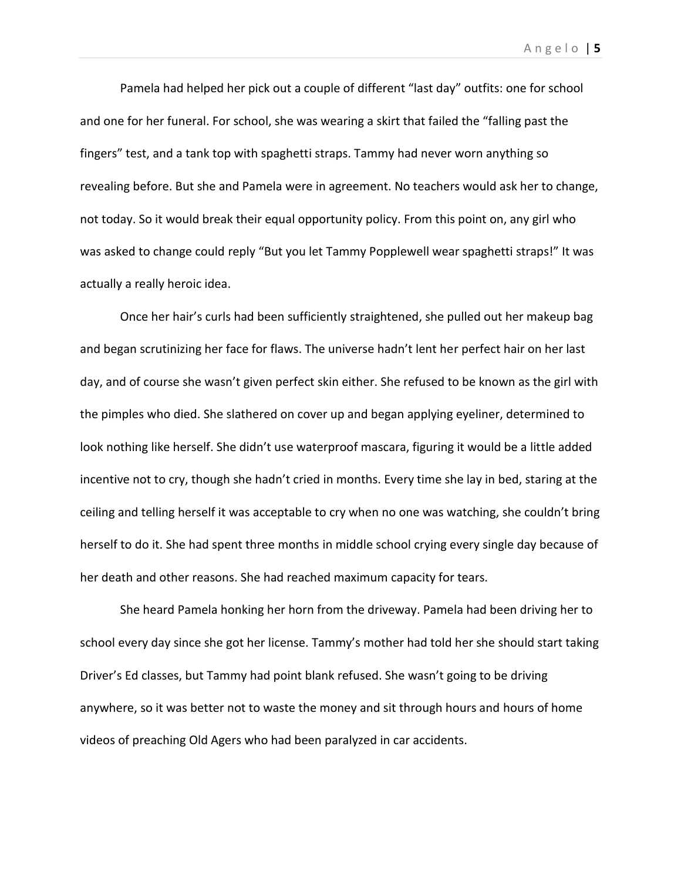Pamela had helped her pick out a couple of different "last day" outfits: one for school and one for her funeral. For school, she was wearing a skirt that failed the "falling past the fingers" test, and a tank top with spaghetti straps. Tammy had never worn anything so revealing before. But she and Pamela were in agreement. No teachers would ask her to change, not today. So it would break their equal opportunity policy. From this point on, any girl who was asked to change could reply "But you let Tammy Popplewell wear spaghetti straps!" It was actually a really heroic idea.

Once her hair's curls had been sufficiently straightened, she pulled out her makeup bag and began scrutinizing her face for flaws. The universe hadn't lent her perfect hair on her last day, and of course she wasn't given perfect skin either. She refused to be known as the girl with the pimples who died. She slathered on cover up and began applying eyeliner, determined to look nothing like herself. She didn't use waterproof mascara, figuring it would be a little added incentive not to cry, though she hadn't cried in months. Every time she lay in bed, staring at the ceiling and telling herself it was acceptable to cry when no one was watching, she couldn't bring herself to do it. She had spent three months in middle school crying every single day because of her death and other reasons. She had reached maximum capacity for tears.

She heard Pamela honking her horn from the driveway. Pamela had been driving her to school every day since she got her license. Tammy's mother had told her she should start taking Driver's Ed classes, but Tammy had point blank refused. She wasn't going to be driving anywhere, so it was better not to waste the money and sit through hours and hours of home videos of preaching Old Agers who had been paralyzed in car accidents.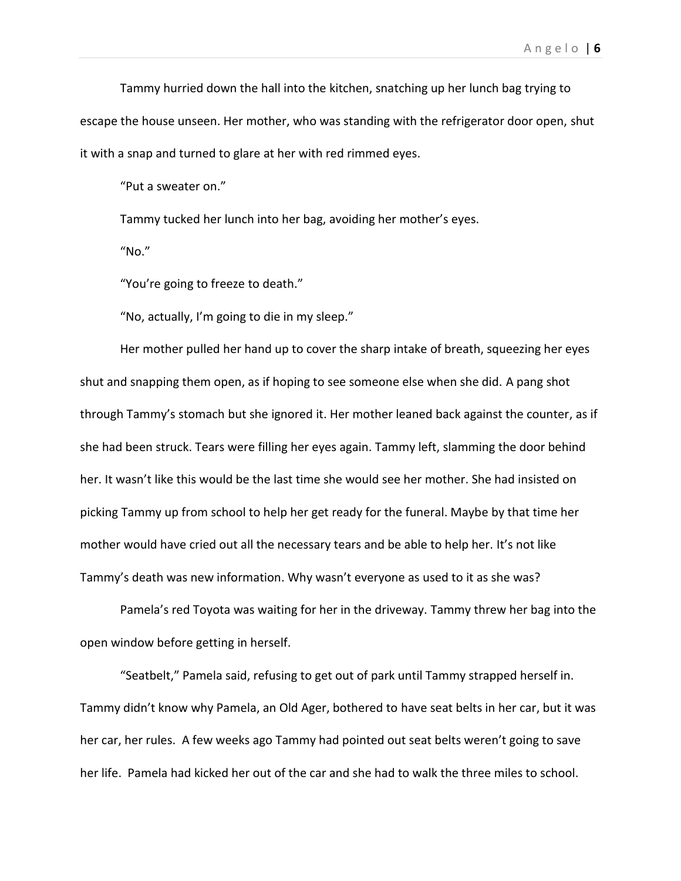Tammy hurried down the hall into the kitchen, snatching up her lunch bag trying to escape the house unseen. Her mother, who was standing with the refrigerator door open, shut it with a snap and turned to glare at her with red rimmed eyes.

"Put a sweater on."

Tammy tucked her lunch into her bag, avoiding her mother's eyes.

"No."

"You're going to freeze to death."

"No, actually, I'm going to die in my sleep."

Her mother pulled her hand up to cover the sharp intake of breath, squeezing her eyes shut and snapping them open, as if hoping to see someone else when she did. A pang shot through Tammy's stomach but she ignored it. Her mother leaned back against the counter, as if she had been struck. Tears were filling her eyes again. Tammy left, slamming the door behind her. It wasn't like this would be the last time she would see her mother. She had insisted on picking Tammy up from school to help her get ready for the funeral. Maybe by that time her mother would have cried out all the necessary tears and be able to help her. It's not like Tammy's death was new information. Why wasn't everyone as used to it as she was?

Pamela's red Toyota was waiting for her in the driveway. Tammy threw her bag into the open window before getting in herself.

"Seatbelt," Pamela said, refusing to get out of park until Tammy strapped herself in. Tammy didn't know why Pamela, an Old Ager, bothered to have seat belts in her car, but it was her car, her rules. A few weeks ago Tammy had pointed out seat belts weren't going to save her life. Pamela had kicked her out of the car and she had to walk the three miles to school.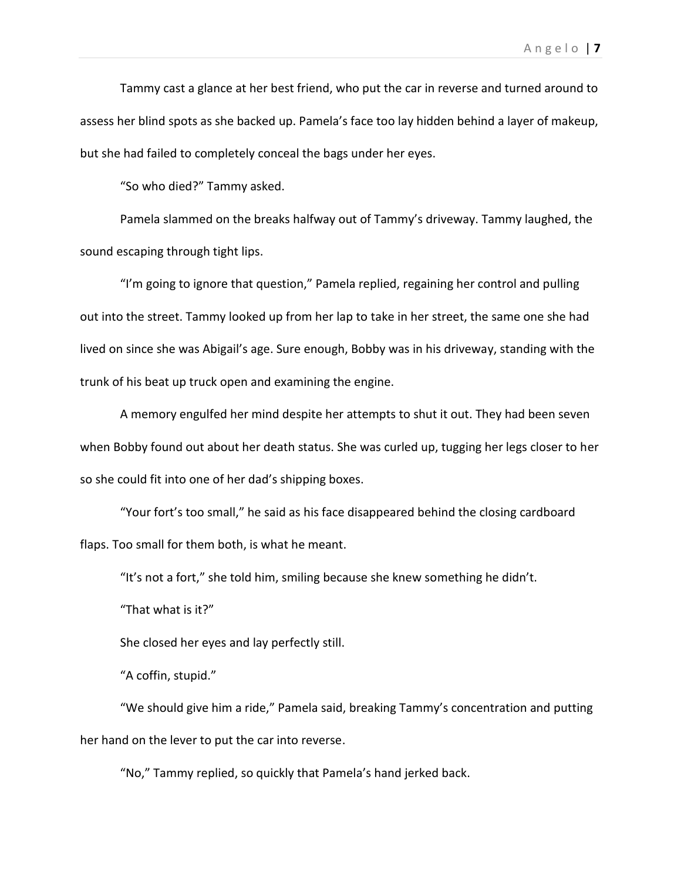Tammy cast a glance at her best friend, who put the car in reverse and turned around to assess her blind spots as she backed up. Pamela's face too lay hidden behind a layer of makeup, but she had failed to completely conceal the bags under her eyes.

"So who died?" Tammy asked.

Pamela slammed on the breaks halfway out of Tammy's driveway. Tammy laughed, the sound escaping through tight lips.

"I'm going to ignore that question," Pamela replied, regaining her control and pulling out into the street. Tammy looked up from her lap to take in her street, the same one she had lived on since she was Abigail's age. Sure enough, Bobby was in his driveway, standing with the trunk of his beat up truck open and examining the engine.

A memory engulfed her mind despite her attempts to shut it out. They had been seven when Bobby found out about her death status. She was curled up, tugging her legs closer to her so she could fit into one of her dad's shipping boxes.

"Your fort's too small," he said as his face disappeared behind the closing cardboard flaps. Too small for them both, is what he meant.

"It's not a fort," she told him, smiling because she knew something he didn't.

"That what is it?"

She closed her eyes and lay perfectly still.

"A coffin, stupid."

"We should give him a ride," Pamela said, breaking Tammy's concentration and putting her hand on the lever to put the car into reverse.

"No," Tammy replied, so quickly that Pamela's hand jerked back.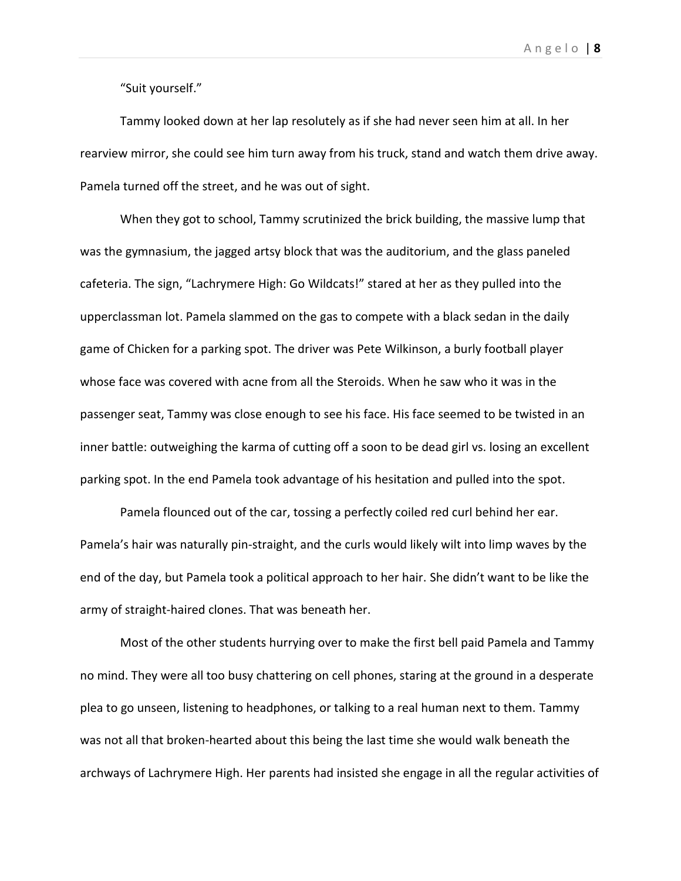"Suit yourself."

Tammy looked down at her lap resolutely as if she had never seen him at all. In her rearview mirror, she could see him turn away from his truck, stand and watch them drive away. Pamela turned off the street, and he was out of sight.

When they got to school, Tammy scrutinized the brick building, the massive lump that was the gymnasium, the jagged artsy block that was the auditorium, and the glass paneled cafeteria. The sign, "Lachrymere High: Go Wildcats!" stared at her as they pulled into the upperclassman lot. Pamela slammed on the gas to compete with a black sedan in the daily game of Chicken for a parking spot. The driver was Pete Wilkinson, a burly football player whose face was covered with acne from all the Steroids. When he saw who it was in the passenger seat, Tammy was close enough to see his face. His face seemed to be twisted in an inner battle: outweighing the karma of cutting off a soon to be dead girl vs. losing an excellent parking spot. In the end Pamela took advantage of his hesitation and pulled into the spot.

Pamela flounced out of the car, tossing a perfectly coiled red curl behind her ear. Pamela's hair was naturally pin-straight, and the curls would likely wilt into limp waves by the end of the day, but Pamela took a political approach to her hair. She didn't want to be like the army of straight-haired clones. That was beneath her.

Most of the other students hurrying over to make the first bell paid Pamela and Tammy no mind. They were all too busy chattering on cell phones, staring at the ground in a desperate plea to go unseen, listening to headphones, or talking to a real human next to them. Tammy was not all that broken-hearted about this being the last time she would walk beneath the archways of Lachrymere High. Her parents had insisted she engage in all the regular activities of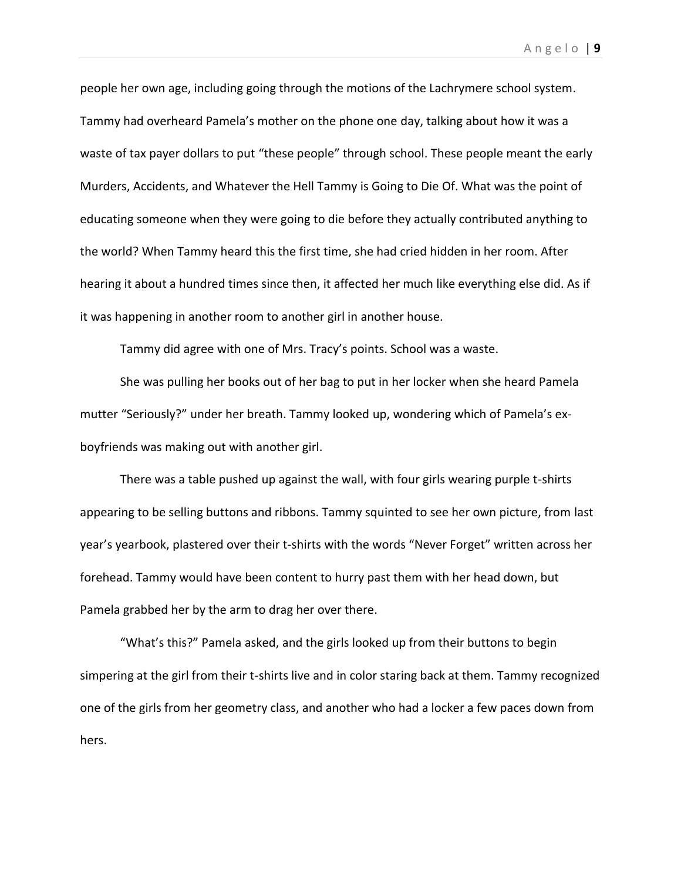people her own age, including going through the motions of the Lachrymere school system. Tammy had overheard Pamela's mother on the phone one day, talking about how it was a waste of tax payer dollars to put "these people" through school. These people meant the early Murders, Accidents, and Whatever the Hell Tammy is Going to Die Of. What was the point of educating someone when they were going to die before they actually contributed anything to the world? When Tammy heard this the first time, she had cried hidden in her room. After hearing it about a hundred times since then, it affected her much like everything else did. As if it was happening in another room to another girl in another house.

Tammy did agree with one of Mrs. Tracy's points. School was a waste.

She was pulling her books out of her bag to put in her locker when she heard Pamela mutter "Seriously?" under her breath. Tammy looked up, wondering which of Pamela's exboyfriends was making out with another girl.

There was a table pushed up against the wall, with four girls wearing purple t-shirts appearing to be selling buttons and ribbons. Tammy squinted to see her own picture, from last year's yearbook, plastered over their t-shirts with the words "Never Forget" written across her forehead. Tammy would have been content to hurry past them with her head down, but Pamela grabbed her by the arm to drag her over there.

"What's this?" Pamela asked, and the girls looked up from their buttons to begin simpering at the girl from their t-shirts live and in color staring back at them. Tammy recognized one of the girls from her geometry class, and another who had a locker a few paces down from hers.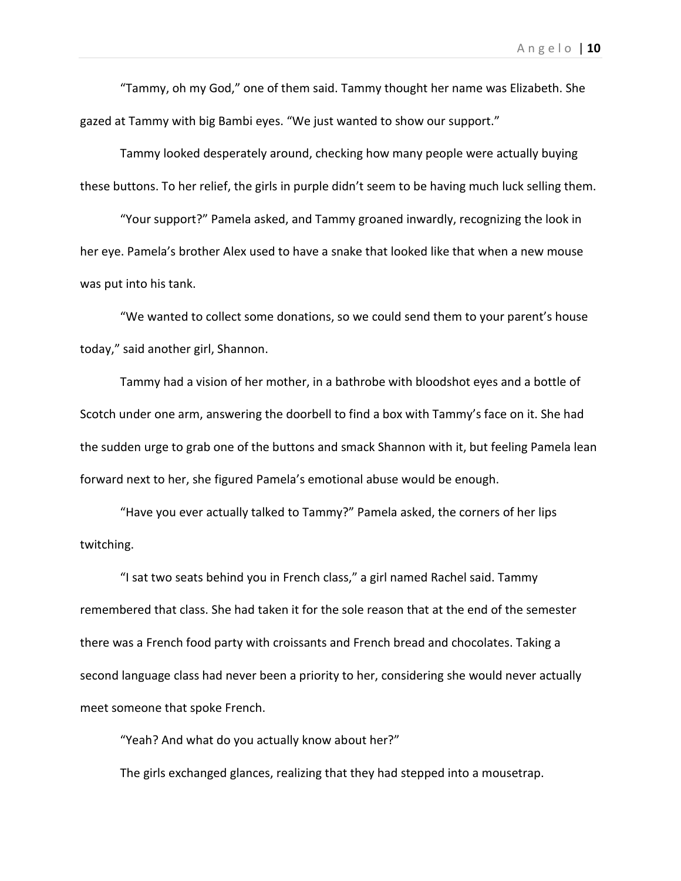"Tammy, oh my God," one of them said. Tammy thought her name was Elizabeth. She gazed at Tammy with big Bambi eyes. "We just wanted to show our support."

Tammy looked desperately around, checking how many people were actually buying these buttons. To her relief, the girls in purple didn't seem to be having much luck selling them.

"Your support?" Pamela asked, and Tammy groaned inwardly, recognizing the look in her eye. Pamela's brother Alex used to have a snake that looked like that when a new mouse was put into his tank.

"We wanted to collect some donations, so we could send them to your parent's house today," said another girl, Shannon.

Tammy had a vision of her mother, in a bathrobe with bloodshot eyes and a bottle of Scotch under one arm, answering the doorbell to find a box with Tammy's face on it. She had the sudden urge to grab one of the buttons and smack Shannon with it, but feeling Pamela lean forward next to her, she figured Pamela's emotional abuse would be enough.

"Have you ever actually talked to Tammy?" Pamela asked, the corners of her lips twitching.

"I sat two seats behind you in French class," a girl named Rachel said. Tammy remembered that class. She had taken it for the sole reason that at the end of the semester there was a French food party with croissants and French bread and chocolates. Taking a second language class had never been a priority to her, considering she would never actually meet someone that spoke French.

"Yeah? And what do you actually know about her?"

The girls exchanged glances, realizing that they had stepped into a mousetrap.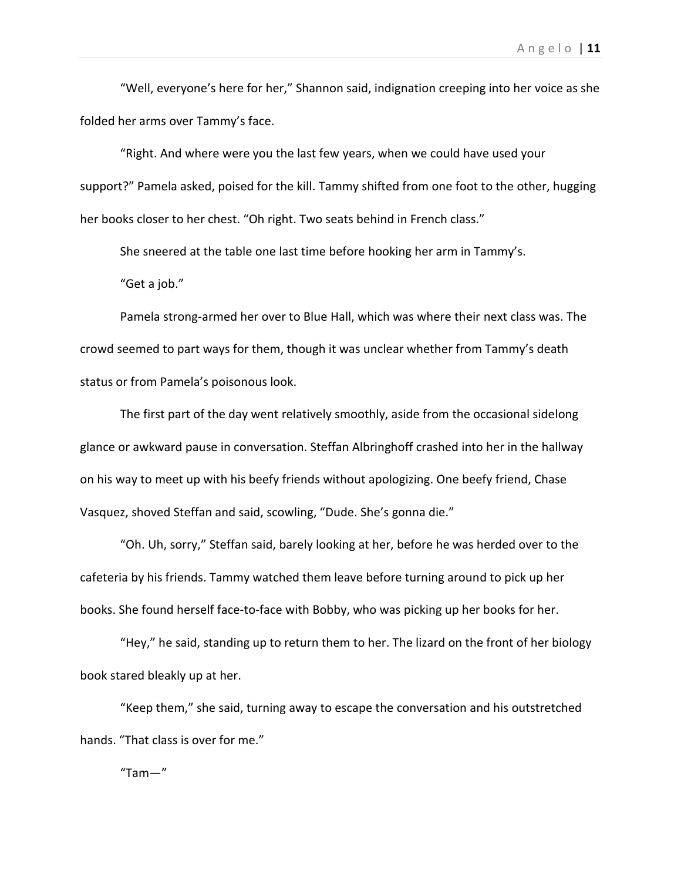"Well, everyone's here for her," Shannon said, indignation creeping into her voice as she folded her arms over Tammy's face.

"Right. And where were you the last few years, when we could have used your support?" Pamela asked, poised for the kill. Tammy shifted from one foot to the other, hugging her books closer to her chest. "Oh right. Two seats behind in French class."

She sneered at the table one last time before hooking her arm in Tammy's.

"Get a job."

Pamela strong-armed her over to Blue Hall, which was where their next class was. The crowd seemed to part ways for them, though it was unclear whether from Tammy's death status or from Pamela's poisonous look.

The first part of the day went relatively smoothly, aside from the occasional sidelong glance or awkward pause in conversation. Steffan Albringhoff crashed into her in the hallway on his way to meet up with his beefy friends without apologizing. One beefy friend, Chase Vasquez, shoved Steffan and said, scowling, "Dude. She's gonna die."

"Oh. Uh, sorry," Steffan said, barely looking at her, before he was herded over to the cafeteria by his friends. Tammy watched them leave before turning around to pick up her books. She found herself face-to-face with Bobby, who was picking up her books for her.

"Hey," he said, standing up to return them to her. The lizard on the front of her biology book stared bleakly up at her.

"Keep them," she said, turning away to escape the conversation and his outstretched hands. "That class is over for me."

"Tam—"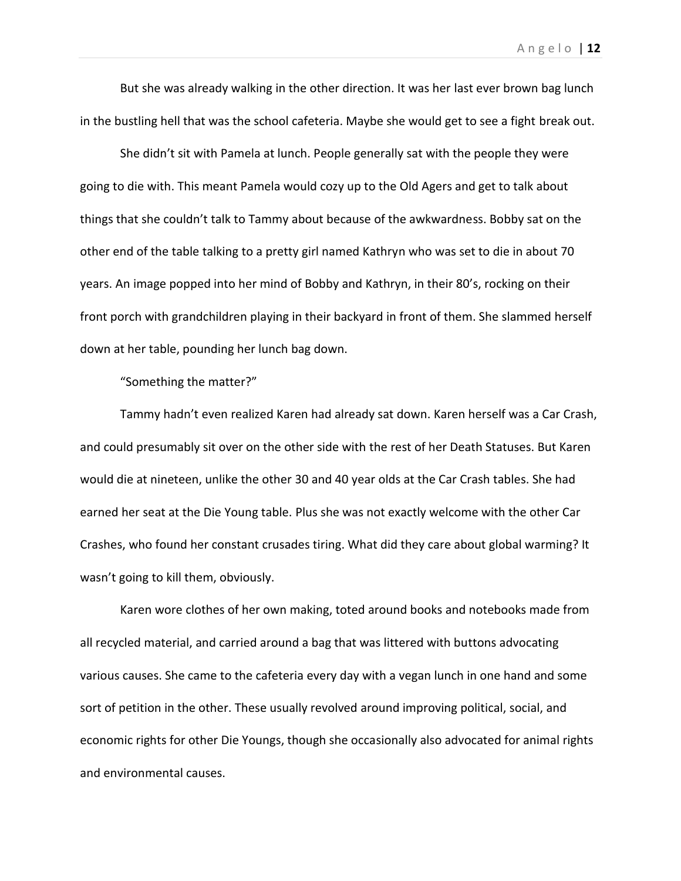But she was already walking in the other direction. It was her last ever brown bag lunch in the bustling hell that was the school cafeteria. Maybe she would get to see a fight break out.

She didn't sit with Pamela at lunch. People generally sat with the people they were going to die with. This meant Pamela would cozy up to the Old Agers and get to talk about things that she couldn't talk to Tammy about because of the awkwardness. Bobby sat on the other end of the table talking to a pretty girl named Kathryn who was set to die in about 70 years. An image popped into her mind of Bobby and Kathryn, in their 80's, rocking on their front porch with grandchildren playing in their backyard in front of them. She slammed herself down at her table, pounding her lunch bag down.

"Something the matter?"

Tammy hadn't even realized Karen had already sat down. Karen herself was a Car Crash, and could presumably sit over on the other side with the rest of her Death Statuses. But Karen would die at nineteen, unlike the other 30 and 40 year olds at the Car Crash tables. She had earned her seat at the Die Young table. Plus she was not exactly welcome with the other Car Crashes, who found her constant crusades tiring. What did they care about global warming? It wasn't going to kill them, obviously.

Karen wore clothes of her own making, toted around books and notebooks made from all recycled material, and carried around a bag that was littered with buttons advocating various causes. She came to the cafeteria every day with a vegan lunch in one hand and some sort of petition in the other. These usually revolved around improving political, social, and economic rights for other Die Youngs, though she occasionally also advocated for animal rights and environmental causes.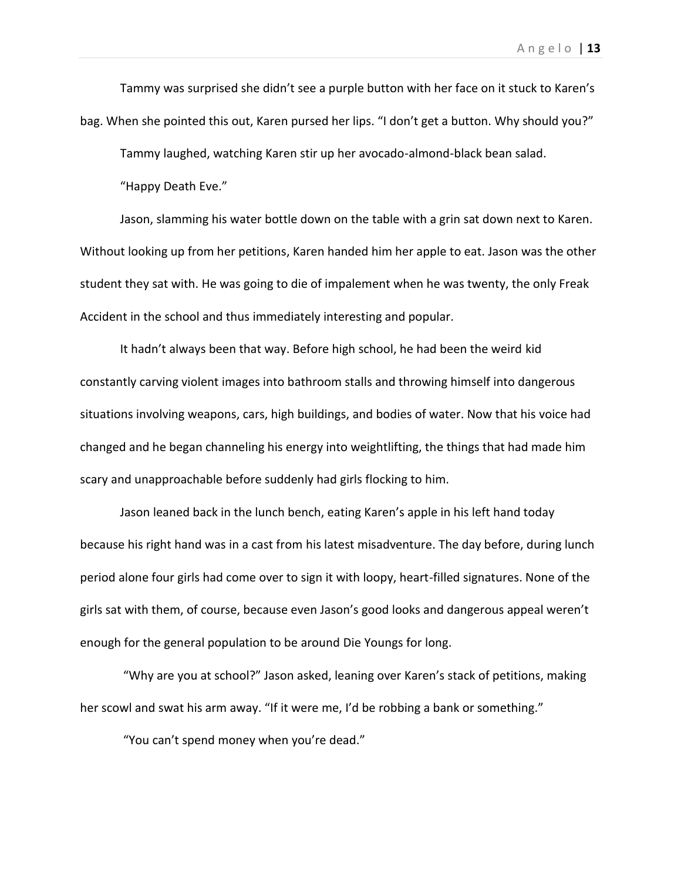Tammy was surprised she didn't see a purple button with her face on it stuck to Karen's bag. When she pointed this out, Karen pursed her lips. "I don't get a button. Why should you?"

Tammy laughed, watching Karen stir up her avocado-almond-black bean salad.

"Happy Death Eve."

Jason, slamming his water bottle down on the table with a grin sat down next to Karen. Without looking up from her petitions, Karen handed him her apple to eat. Jason was the other student they sat with. He was going to die of impalement when he was twenty, the only Freak Accident in the school and thus immediately interesting and popular.

It hadn't always been that way. Before high school, he had been the weird kid constantly carving violent images into bathroom stalls and throwing himself into dangerous situations involving weapons, cars, high buildings, and bodies of water. Now that his voice had changed and he began channeling his energy into weightlifting, the things that had made him scary and unapproachable before suddenly had girls flocking to him.

Jason leaned back in the lunch bench, eating Karen's apple in his left hand today because his right hand was in a cast from his latest misadventure. The day before, during lunch period alone four girls had come over to sign it with loopy, heart-filled signatures. None of the girls sat with them, of course, because even Jason's good looks and dangerous appeal weren't enough for the general population to be around Die Youngs for long.

"Why are you at school?" Jason asked, leaning over Karen's stack of petitions, making her scowl and swat his arm away. "If it were me, I'd be robbing a bank or something."

"You can't spend money when you're dead."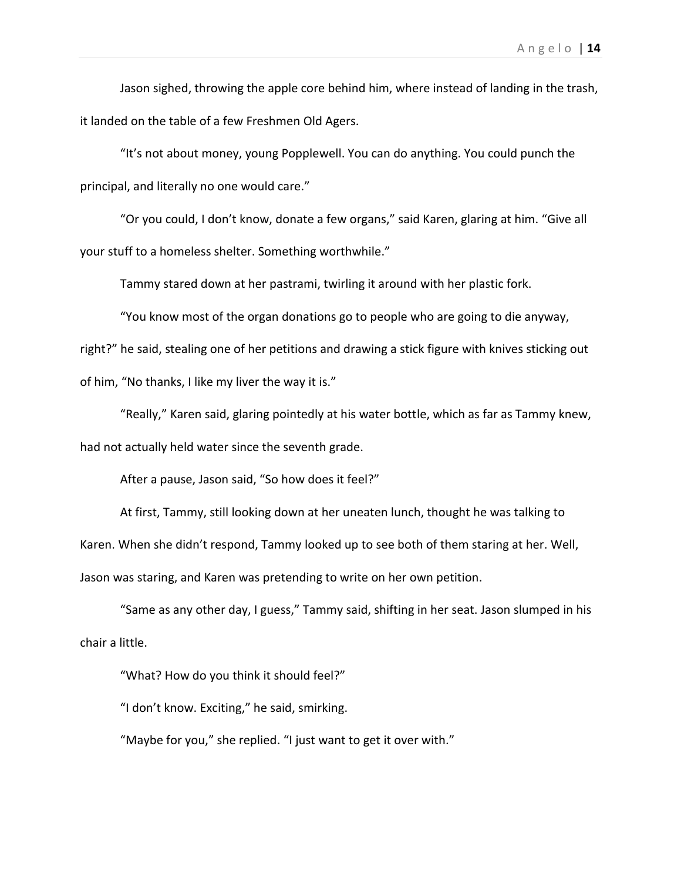Jason sighed, throwing the apple core behind him, where instead of landing in the trash, it landed on the table of a few Freshmen Old Agers.

"It's not about money, young Popplewell. You can do anything. You could punch the principal, and literally no one would care."

"Or you could, I don't know, donate a few organs," said Karen, glaring at him. "Give all your stuff to a homeless shelter. Something worthwhile."

Tammy stared down at her pastrami, twirling it around with her plastic fork.

"You know most of the organ donations go to people who are going to die anyway,

right?" he said, stealing one of her petitions and drawing a stick figure with knives sticking out of him, "No thanks, I like my liver the way it is."

"Really," Karen said, glaring pointedly at his water bottle, which as far as Tammy knew, had not actually held water since the seventh grade.

After a pause, Jason said, "So how does it feel?"

At first, Tammy, still looking down at her uneaten lunch, thought he was talking to Karen. When she didn't respond, Tammy looked up to see both of them staring at her. Well, Jason was staring, and Karen was pretending to write on her own petition.

"Same as any other day, I guess," Tammy said, shifting in her seat. Jason slumped in his chair a little.

"What? How do you think it should feel?"

"I don't know. Exciting," he said, smirking.

"Maybe for you," she replied. "I just want to get it over with."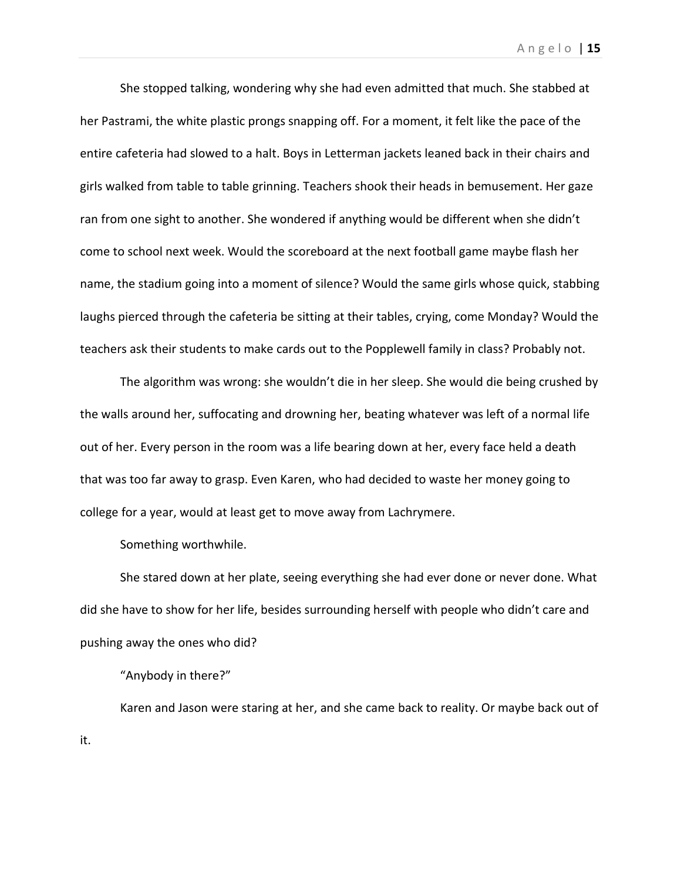She stopped talking, wondering why she had even admitted that much. She stabbed at her Pastrami, the white plastic prongs snapping off. For a moment, it felt like the pace of the entire cafeteria had slowed to a halt. Boys in Letterman jackets leaned back in their chairs and girls walked from table to table grinning. Teachers shook their heads in bemusement. Her gaze ran from one sight to another. She wondered if anything would be different when she didn't come to school next week. Would the scoreboard at the next football game maybe flash her name, the stadium going into a moment of silence? Would the same girls whose quick, stabbing laughs pierced through the cafeteria be sitting at their tables, crying, come Monday? Would the teachers ask their students to make cards out to the Popplewell family in class? Probably not.

The algorithm was wrong: she wouldn't die in her sleep. She would die being crushed by the walls around her, suffocating and drowning her, beating whatever was left of a normal life out of her. Every person in the room was a life bearing down at her, every face held a death that was too far away to grasp. Even Karen, who had decided to waste her money going to college for a year, would at least get to move away from Lachrymere.

Something worthwhile.

She stared down at her plate, seeing everything she had ever done or never done. What did she have to show for her life, besides surrounding herself with people who didn't care and pushing away the ones who did?

"Anybody in there?"

Karen and Jason were staring at her, and she came back to reality. Or maybe back out of it.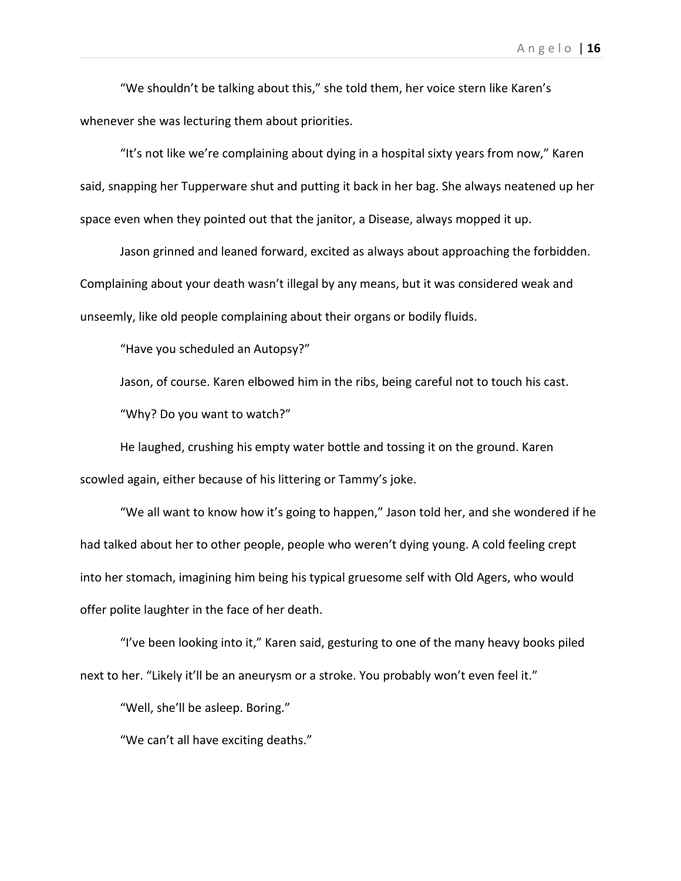"We shouldn't be talking about this," she told them, her voice stern like Karen's whenever she was lecturing them about priorities.

"It's not like we're complaining about dying in a hospital sixty years from now," Karen said, snapping her Tupperware shut and putting it back in her bag. She always neatened up her space even when they pointed out that the janitor, a Disease, always mopped it up.

Jason grinned and leaned forward, excited as always about approaching the forbidden. Complaining about your death wasn't illegal by any means, but it was considered weak and unseemly, like old people complaining about their organs or bodily fluids.

"Have you scheduled an Autopsy?"

Jason, of course. Karen elbowed him in the ribs, being careful not to touch his cast. "Why? Do you want to watch?"

He laughed, crushing his empty water bottle and tossing it on the ground. Karen scowled again, either because of his littering or Tammy's joke.

"We all want to know how it's going to happen," Jason told her, and she wondered if he had talked about her to other people, people who weren't dying young. A cold feeling crept into her stomach, imagining him being his typical gruesome self with Old Agers, who would offer polite laughter in the face of her death.

"I've been looking into it," Karen said, gesturing to one of the many heavy books piled next to her. "Likely it'll be an aneurysm or a stroke. You probably won't even feel it."

"Well, she'll be asleep. Boring."

"We can't all have exciting deaths."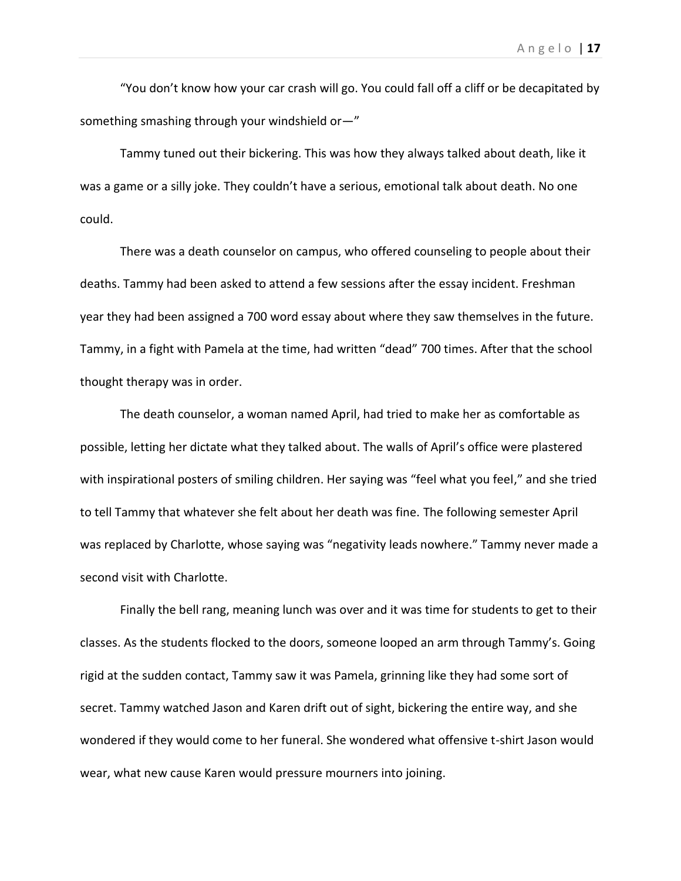"You don't know how your car crash will go. You could fall off a cliff or be decapitated by something smashing through your windshield or—"

Tammy tuned out their bickering. This was how they always talked about death, like it was a game or a silly joke. They couldn't have a serious, emotional talk about death. No one could.

There was a death counselor on campus, who offered counseling to people about their deaths. Tammy had been asked to attend a few sessions after the essay incident. Freshman year they had been assigned a 700 word essay about where they saw themselves in the future. Tammy, in a fight with Pamela at the time, had written "dead" 700 times. After that the school thought therapy was in order.

The death counselor, a woman named April, had tried to make her as comfortable as possible, letting her dictate what they talked about. The walls of April's office were plastered with inspirational posters of smiling children. Her saying was "feel what you feel," and she tried to tell Tammy that whatever she felt about her death was fine. The following semester April was replaced by Charlotte, whose saying was "negativity leads nowhere." Tammy never made a second visit with Charlotte.

Finally the bell rang, meaning lunch was over and it was time for students to get to their classes. As the students flocked to the doors, someone looped an arm through Tammy's. Going rigid at the sudden contact, Tammy saw it was Pamela, grinning like they had some sort of secret. Tammy watched Jason and Karen drift out of sight, bickering the entire way, and she wondered if they would come to her funeral. She wondered what offensive t-shirt Jason would wear, what new cause Karen would pressure mourners into joining.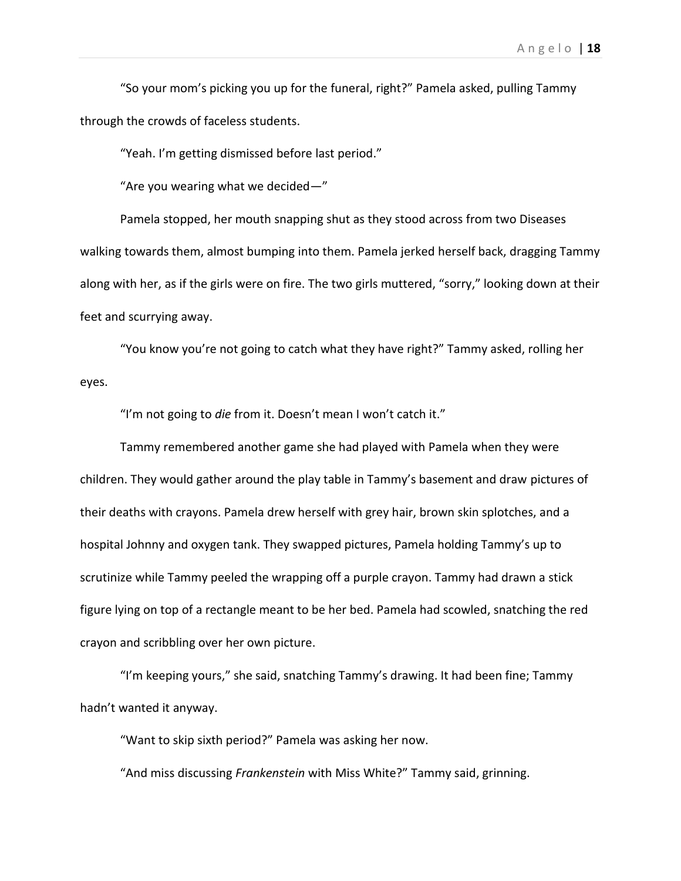"So your mom's picking you up for the funeral, right?" Pamela asked, pulling Tammy through the crowds of faceless students.

"Yeah. I'm getting dismissed before last period."

"Are you wearing what we decided—"

Pamela stopped, her mouth snapping shut as they stood across from two Diseases walking towards them, almost bumping into them. Pamela jerked herself back, dragging Tammy along with her, as if the girls were on fire. The two girls muttered, "sorry," looking down at their feet and scurrying away.

"You know you're not going to catch what they have right?" Tammy asked, rolling her eyes.

"I'm not going to *die* from it. Doesn't mean I won't catch it."

Tammy remembered another game she had played with Pamela when they were children. They would gather around the play table in Tammy's basement and draw pictures of their deaths with crayons. Pamela drew herself with grey hair, brown skin splotches, and a hospital Johnny and oxygen tank. They swapped pictures, Pamela holding Tammy's up to scrutinize while Tammy peeled the wrapping off a purple crayon. Tammy had drawn a stick figure lying on top of a rectangle meant to be her bed. Pamela had scowled, snatching the red crayon and scribbling over her own picture.

"I'm keeping yours," she said, snatching Tammy's drawing. It had been fine; Tammy hadn't wanted it anyway.

"Want to skip sixth period?" Pamela was asking her now.

"And miss discussing *Frankenstein* with Miss White?" Tammy said, grinning.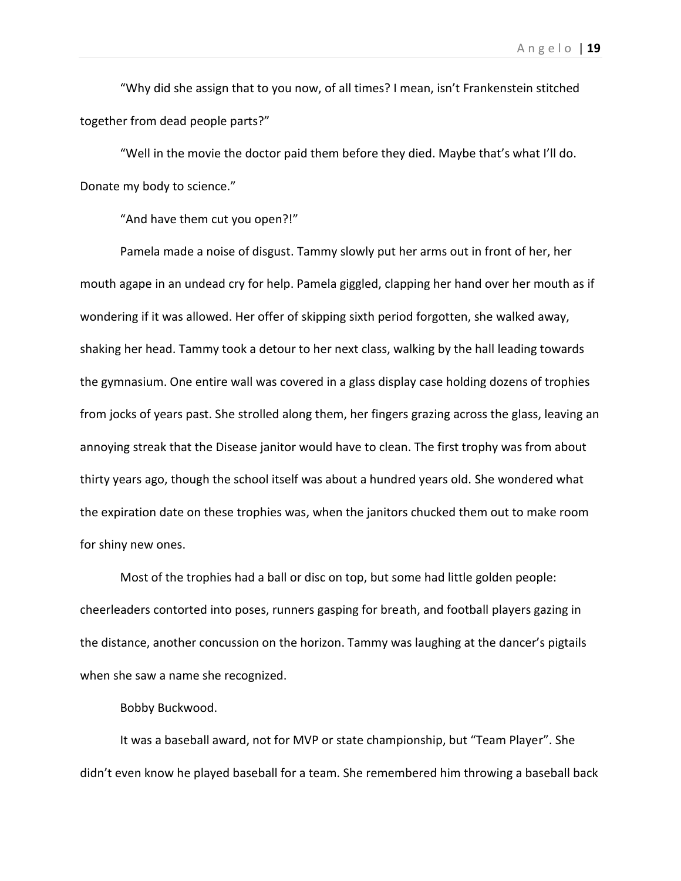"Why did she assign that to you now, of all times? I mean, isn't Frankenstein stitched together from dead people parts?"

"Well in the movie the doctor paid them before they died. Maybe that's what I'll do. Donate my body to science."

"And have them cut you open?!"

Pamela made a noise of disgust. Tammy slowly put her arms out in front of her, her mouth agape in an undead cry for help. Pamela giggled, clapping her hand over her mouth as if wondering if it was allowed. Her offer of skipping sixth period forgotten, she walked away, shaking her head. Tammy took a detour to her next class, walking by the hall leading towards the gymnasium. One entire wall was covered in a glass display case holding dozens of trophies from jocks of years past. She strolled along them, her fingers grazing across the glass, leaving an annoying streak that the Disease janitor would have to clean. The first trophy was from about thirty years ago, though the school itself was about a hundred years old. She wondered what the expiration date on these trophies was, when the janitors chucked them out to make room for shiny new ones.

Most of the trophies had a ball or disc on top, but some had little golden people: cheerleaders contorted into poses, runners gasping for breath, and football players gazing in the distance, another concussion on the horizon. Tammy was laughing at the dancer's pigtails when she saw a name she recognized.

Bobby Buckwood.

It was a baseball award, not for MVP or state championship, but "Team Player". She didn't even know he played baseball for a team. She remembered him throwing a baseball back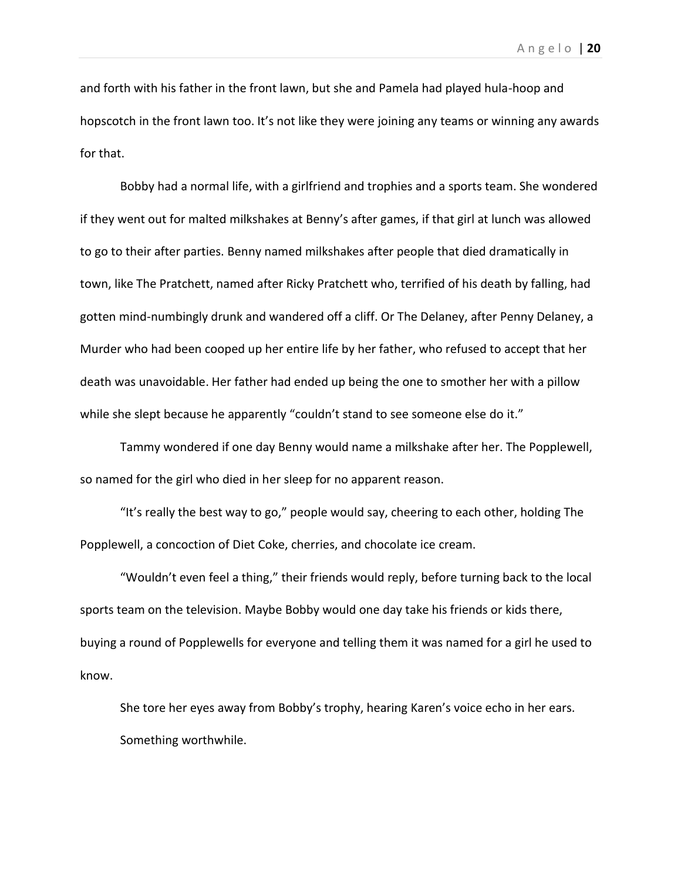and forth with his father in the front lawn, but she and Pamela had played hula-hoop and hopscotch in the front lawn too. It's not like they were joining any teams or winning any awards for that.

Bobby had a normal life, with a girlfriend and trophies and a sports team. She wondered if they went out for malted milkshakes at Benny's after games, if that girl at lunch was allowed to go to their after parties. Benny named milkshakes after people that died dramatically in town, like The Pratchett, named after Ricky Pratchett who, terrified of his death by falling, had gotten mind-numbingly drunk and wandered off a cliff. Or The Delaney, after Penny Delaney, a Murder who had been cooped up her entire life by her father, who refused to accept that her death was unavoidable. Her father had ended up being the one to smother her with a pillow while she slept because he apparently "couldn't stand to see someone else do it."

Tammy wondered if one day Benny would name a milkshake after her. The Popplewell, so named for the girl who died in her sleep for no apparent reason.

"It's really the best way to go," people would say, cheering to each other, holding The Popplewell, a concoction of Diet Coke, cherries, and chocolate ice cream.

"Wouldn't even feel a thing," their friends would reply, before turning back to the local sports team on the television. Maybe Bobby would one day take his friends or kids there, buying a round of Popplewells for everyone and telling them it was named for a girl he used to know.

She tore her eyes away from Bobby's trophy, hearing Karen's voice echo in her ears. Something worthwhile.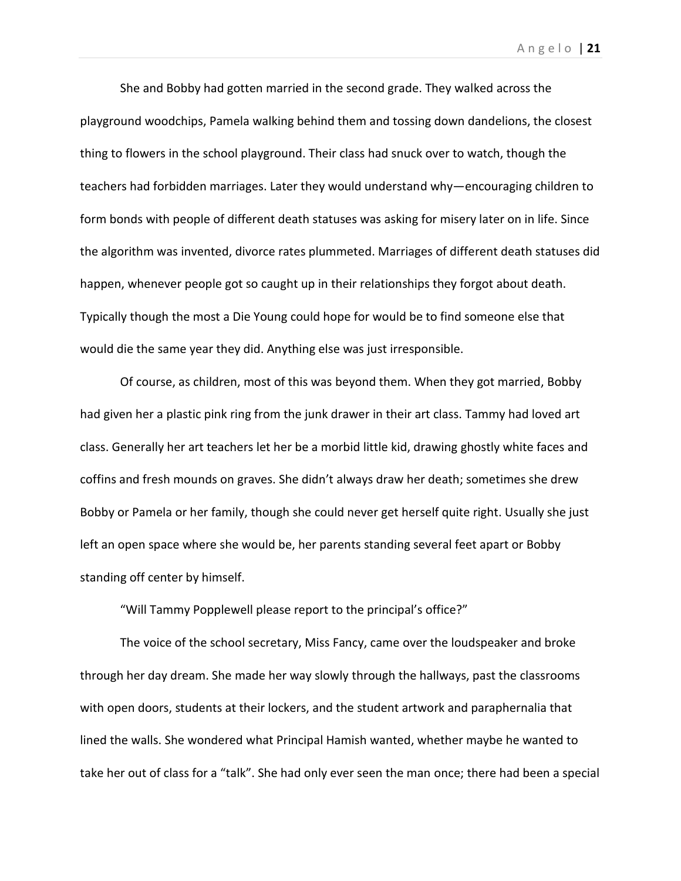A n g e l o | **21**

She and Bobby had gotten married in the second grade. They walked across the playground woodchips, Pamela walking behind them and tossing down dandelions, the closest thing to flowers in the school playground. Their class had snuck over to watch, though the teachers had forbidden marriages. Later they would understand why—encouraging children to form bonds with people of different death statuses was asking for misery later on in life. Since the algorithm was invented, divorce rates plummeted. Marriages of different death statuses did happen, whenever people got so caught up in their relationships they forgot about death. Typically though the most a Die Young could hope for would be to find someone else that would die the same year they did. Anything else was just irresponsible.

Of course, as children, most of this was beyond them. When they got married, Bobby had given her a plastic pink ring from the junk drawer in their art class. Tammy had loved art class. Generally her art teachers let her be a morbid little kid, drawing ghostly white faces and coffins and fresh mounds on graves. She didn't always draw her death; sometimes she drew Bobby or Pamela or her family, though she could never get herself quite right. Usually she just left an open space where she would be, her parents standing several feet apart or Bobby standing off center by himself.

"Will Tammy Popplewell please report to the principal's office?"

The voice of the school secretary, Miss Fancy, came over the loudspeaker and broke through her day dream. She made her way slowly through the hallways, past the classrooms with open doors, students at their lockers, and the student artwork and paraphernalia that lined the walls. She wondered what Principal Hamish wanted, whether maybe he wanted to take her out of class for a "talk". She had only ever seen the man once; there had been a special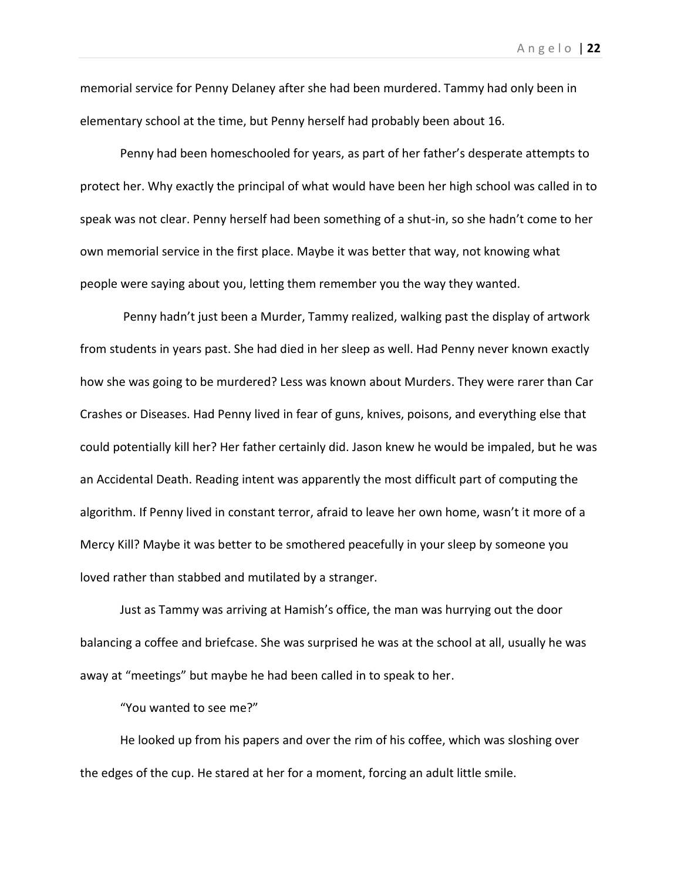memorial service for Penny Delaney after she had been murdered. Tammy had only been in elementary school at the time, but Penny herself had probably been about 16.

Penny had been homeschooled for years, as part of her father's desperate attempts to protect her. Why exactly the principal of what would have been her high school was called in to speak was not clear. Penny herself had been something of a shut-in, so she hadn't come to her own memorial service in the first place. Maybe it was better that way, not knowing what people were saying about you, letting them remember you the way they wanted.

Penny hadn't just been a Murder, Tammy realized, walking past the display of artwork from students in years past. She had died in her sleep as well. Had Penny never known exactly how she was going to be murdered? Less was known about Murders. They were rarer than Car Crashes or Diseases. Had Penny lived in fear of guns, knives, poisons, and everything else that could potentially kill her? Her father certainly did. Jason knew he would be impaled, but he was an Accidental Death. Reading intent was apparently the most difficult part of computing the algorithm. If Penny lived in constant terror, afraid to leave her own home, wasn't it more of a Mercy Kill? Maybe it was better to be smothered peacefully in your sleep by someone you loved rather than stabbed and mutilated by a stranger.

Just as Tammy was arriving at Hamish's office, the man was hurrying out the door balancing a coffee and briefcase. She was surprised he was at the school at all, usually he was away at "meetings" but maybe he had been called in to speak to her.

"You wanted to see me?"

He looked up from his papers and over the rim of his coffee, which was sloshing over the edges of the cup. He stared at her for a moment, forcing an adult little smile.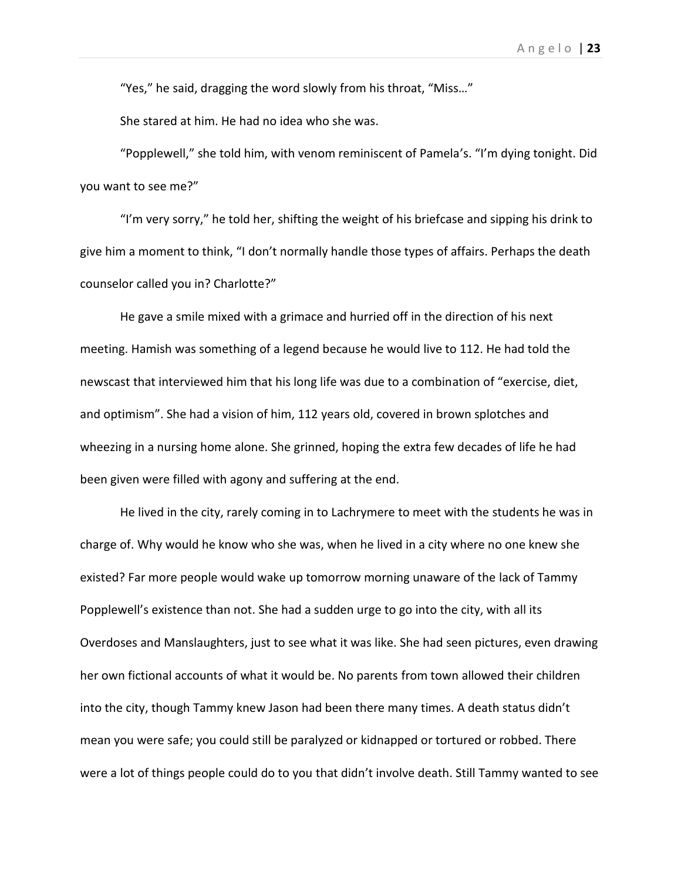"Yes," he said, dragging the word slowly from his throat, "Miss…"

She stared at him. He had no idea who she was.

"Popplewell," she told him, with venom reminiscent of Pamela's. "I'm dying tonight. Did you want to see me?"

"I'm very sorry," he told her, shifting the weight of his briefcase and sipping his drink to give him a moment to think, "I don't normally handle those types of affairs. Perhaps the death counselor called you in? Charlotte?"

He gave a smile mixed with a grimace and hurried off in the direction of his next meeting. Hamish was something of a legend because he would live to 112. He had told the newscast that interviewed him that his long life was due to a combination of "exercise, diet, and optimism". She had a vision of him, 112 years old, covered in brown splotches and wheezing in a nursing home alone. She grinned, hoping the extra few decades of life he had been given were filled with agony and suffering at the end.

He lived in the city, rarely coming in to Lachrymere to meet with the students he was in charge of. Why would he know who she was, when he lived in a city where no one knew she existed? Far more people would wake up tomorrow morning unaware of the lack of Tammy Popplewell's existence than not. She had a sudden urge to go into the city, with all its Overdoses and Manslaughters, just to see what it was like. She had seen pictures, even drawing her own fictional accounts of what it would be. No parents from town allowed their children into the city, though Tammy knew Jason had been there many times. A death status didn't mean you were safe; you could still be paralyzed or kidnapped or tortured or robbed. There were a lot of things people could do to you that didn't involve death. Still Tammy wanted to see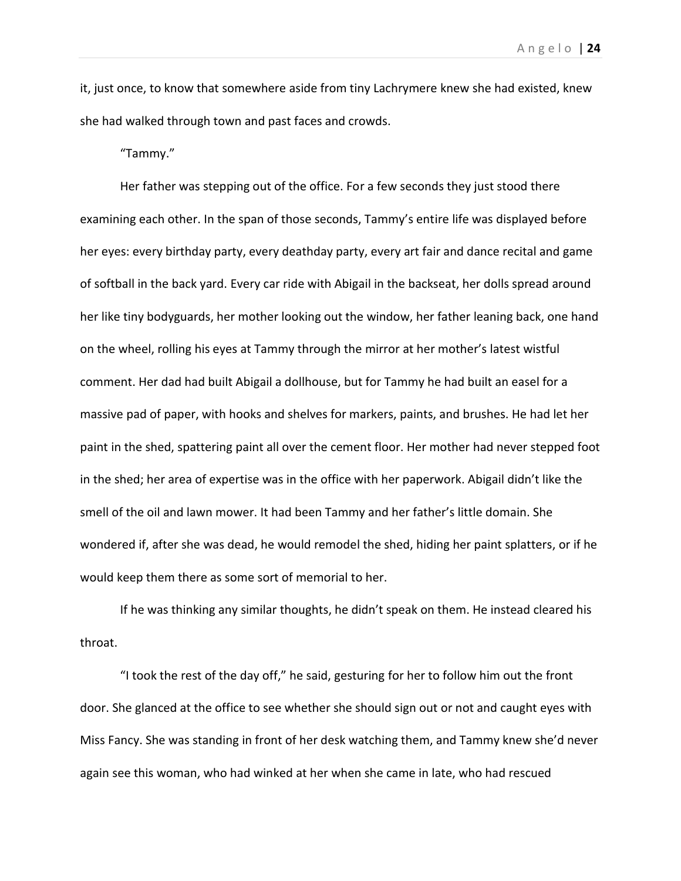it, just once, to know that somewhere aside from tiny Lachrymere knew she had existed, knew she had walked through town and past faces and crowds.

"Tammy."

Her father was stepping out of the office. For a few seconds they just stood there examining each other. In the span of those seconds, Tammy's entire life was displayed before her eyes: every birthday party, every deathday party, every art fair and dance recital and game of softball in the back yard. Every car ride with Abigail in the backseat, her dolls spread around her like tiny bodyguards, her mother looking out the window, her father leaning back, one hand on the wheel, rolling his eyes at Tammy through the mirror at her mother's latest wistful comment. Her dad had built Abigail a dollhouse, but for Tammy he had built an easel for a massive pad of paper, with hooks and shelves for markers, paints, and brushes. He had let her paint in the shed, spattering paint all over the cement floor. Her mother had never stepped foot in the shed; her area of expertise was in the office with her paperwork. Abigail didn't like the smell of the oil and lawn mower. It had been Tammy and her father's little domain. She wondered if, after she was dead, he would remodel the shed, hiding her paint splatters, or if he would keep them there as some sort of memorial to her.

If he was thinking any similar thoughts, he didn't speak on them. He instead cleared his throat.

"I took the rest of the day off," he said, gesturing for her to follow him out the front door. She glanced at the office to see whether she should sign out or not and caught eyes with Miss Fancy. She was standing in front of her desk watching them, and Tammy knew she'd never again see this woman, who had winked at her when she came in late, who had rescued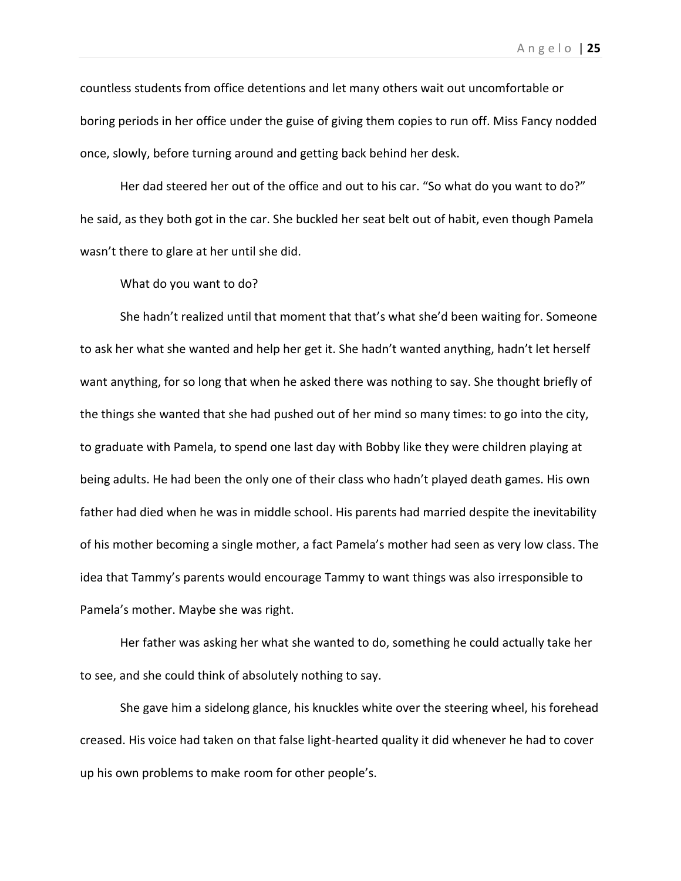countless students from office detentions and let many others wait out uncomfortable or boring periods in her office under the guise of giving them copies to run off. Miss Fancy nodded once, slowly, before turning around and getting back behind her desk.

Her dad steered her out of the office and out to his car. "So what do you want to do?" he said, as they both got in the car. She buckled her seat belt out of habit, even though Pamela wasn't there to glare at her until she did.

What do you want to do?

She hadn't realized until that moment that that's what she'd been waiting for. Someone to ask her what she wanted and help her get it. She hadn't wanted anything, hadn't let herself want anything, for so long that when he asked there was nothing to say. She thought briefly of the things she wanted that she had pushed out of her mind so many times: to go into the city, to graduate with Pamela, to spend one last day with Bobby like they were children playing at being adults. He had been the only one of their class who hadn't played death games. His own father had died when he was in middle school. His parents had married despite the inevitability of his mother becoming a single mother, a fact Pamela's mother had seen as very low class. The idea that Tammy's parents would encourage Tammy to want things was also irresponsible to Pamela's mother. Maybe she was right.

Her father was asking her what she wanted to do, something he could actually take her to see, and she could think of absolutely nothing to say.

She gave him a sidelong glance, his knuckles white over the steering wheel, his forehead creased. His voice had taken on that false light-hearted quality it did whenever he had to cover up his own problems to make room for other people's.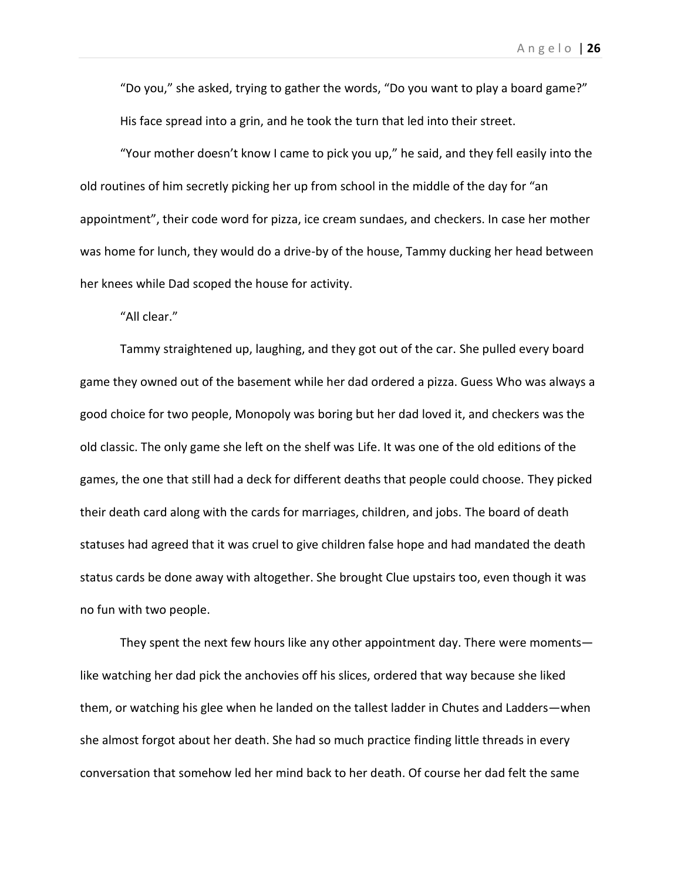"Do you," she asked, trying to gather the words, "Do you want to play a board game?" His face spread into a grin, and he took the turn that led into their street.

"Your mother doesn't know I came to pick you up," he said, and they fell easily into the old routines of him secretly picking her up from school in the middle of the day for "an appointment", their code word for pizza, ice cream sundaes, and checkers. In case her mother was home for lunch, they would do a drive-by of the house, Tammy ducking her head between her knees while Dad scoped the house for activity.

"All clear."

Tammy straightened up, laughing, and they got out of the car. She pulled every board game they owned out of the basement while her dad ordered a pizza. Guess Who was always a good choice for two people, Monopoly was boring but her dad loved it, and checkers was the old classic. The only game she left on the shelf was Life. It was one of the old editions of the games, the one that still had a deck for different deaths that people could choose. They picked their death card along with the cards for marriages, children, and jobs. The board of death statuses had agreed that it was cruel to give children false hope and had mandated the death status cards be done away with altogether. She brought Clue upstairs too, even though it was no fun with two people.

They spent the next few hours like any other appointment day. There were moments like watching her dad pick the anchovies off his slices, ordered that way because she liked them, or watching his glee when he landed on the tallest ladder in Chutes and Ladders—when she almost forgot about her death. She had so much practice finding little threads in every conversation that somehow led her mind back to her death. Of course her dad felt the same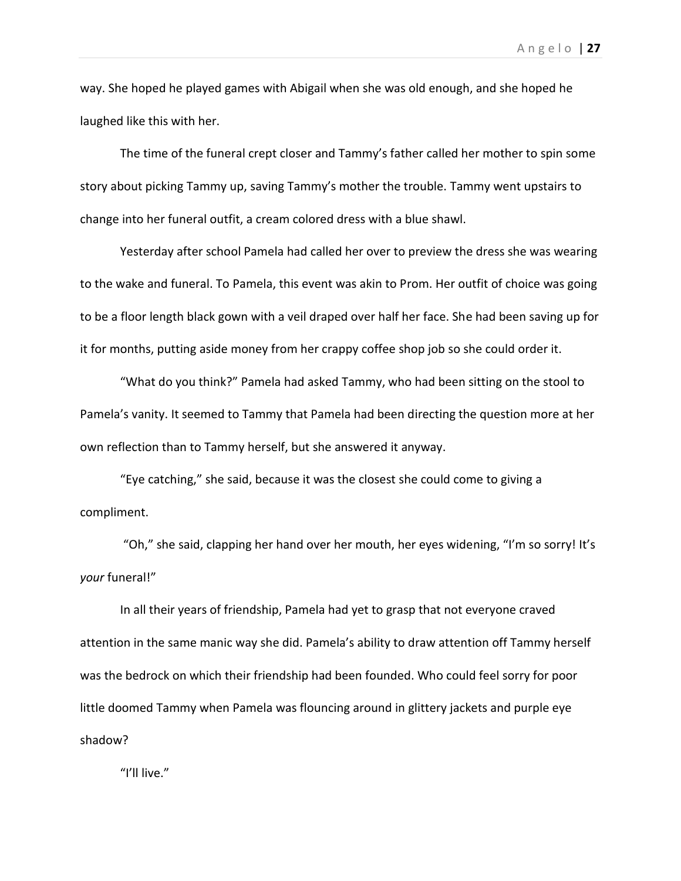way. She hoped he played games with Abigail when she was old enough, and she hoped he laughed like this with her.

The time of the funeral crept closer and Tammy's father called her mother to spin some story about picking Tammy up, saving Tammy's mother the trouble. Tammy went upstairs to change into her funeral outfit, a cream colored dress with a blue shawl.

Yesterday after school Pamela had called her over to preview the dress she was wearing to the wake and funeral. To Pamela, this event was akin to Prom. Her outfit of choice was going to be a floor length black gown with a veil draped over half her face. She had been saving up for it for months, putting aside money from her crappy coffee shop job so she could order it.

"What do you think?" Pamela had asked Tammy, who had been sitting on the stool to Pamela's vanity. It seemed to Tammy that Pamela had been directing the question more at her own reflection than to Tammy herself, but she answered it anyway.

"Eye catching," she said, because it was the closest she could come to giving a compliment.

"Oh," she said, clapping her hand over her mouth, her eyes widening, "I'm so sorry! It's *your* funeral!"

In all their years of friendship, Pamela had yet to grasp that not everyone craved attention in the same manic way she did. Pamela's ability to draw attention off Tammy herself was the bedrock on which their friendship had been founded. Who could feel sorry for poor little doomed Tammy when Pamela was flouncing around in glittery jackets and purple eye shadow?

"I'll live."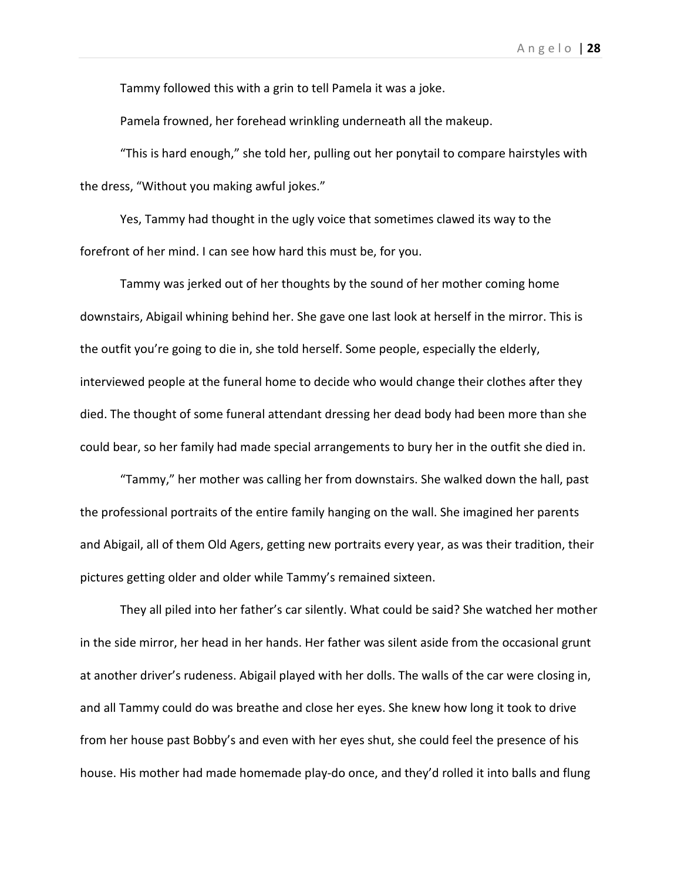Tammy followed this with a grin to tell Pamela it was a joke.

Pamela frowned, her forehead wrinkling underneath all the makeup.

"This is hard enough," she told her, pulling out her ponytail to compare hairstyles with the dress, "Without you making awful jokes."

Yes, Tammy had thought in the ugly voice that sometimes clawed its way to the forefront of her mind. I can see how hard this must be, for you.

Tammy was jerked out of her thoughts by the sound of her mother coming home downstairs, Abigail whining behind her. She gave one last look at herself in the mirror. This is the outfit you're going to die in, she told herself. Some people, especially the elderly, interviewed people at the funeral home to decide who would change their clothes after they died. The thought of some funeral attendant dressing her dead body had been more than she could bear, so her family had made special arrangements to bury her in the outfit she died in.

"Tammy," her mother was calling her from downstairs. She walked down the hall, past the professional portraits of the entire family hanging on the wall. She imagined her parents and Abigail, all of them Old Agers, getting new portraits every year, as was their tradition, their pictures getting older and older while Tammy's remained sixteen.

They all piled into her father's car silently. What could be said? She watched her mother in the side mirror, her head in her hands. Her father was silent aside from the occasional grunt at another driver's rudeness. Abigail played with her dolls. The walls of the car were closing in, and all Tammy could do was breathe and close her eyes. She knew how long it took to drive from her house past Bobby's and even with her eyes shut, she could feel the presence of his house. His mother had made homemade play-do once, and they'd rolled it into balls and flung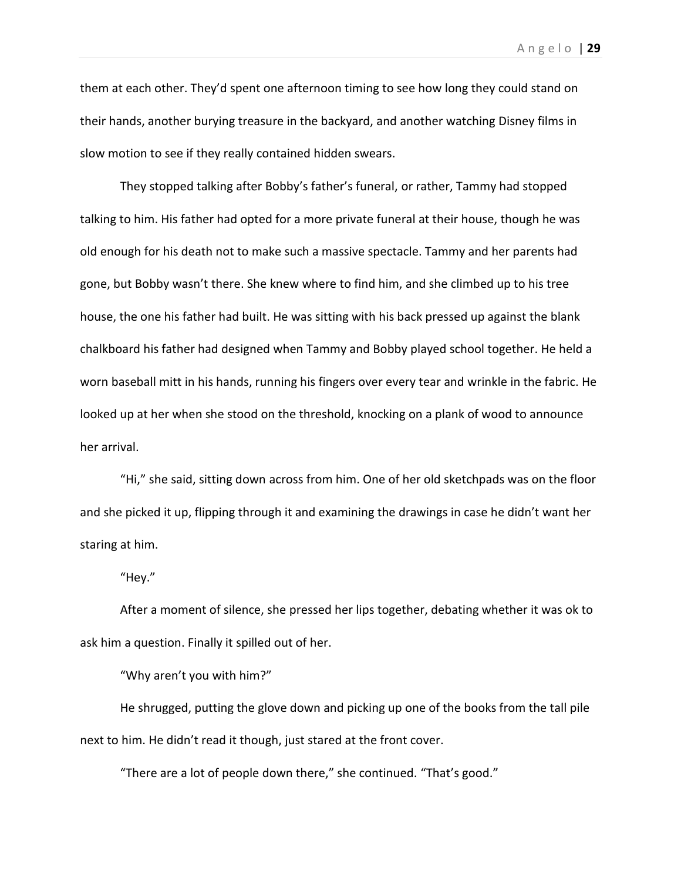them at each other. They'd spent one afternoon timing to see how long they could stand on their hands, another burying treasure in the backyard, and another watching Disney films in slow motion to see if they really contained hidden swears.

They stopped talking after Bobby's father's funeral, or rather, Tammy had stopped talking to him. His father had opted for a more private funeral at their house, though he was old enough for his death not to make such a massive spectacle. Tammy and her parents had gone, but Bobby wasn't there. She knew where to find him, and she climbed up to his tree house, the one his father had built. He was sitting with his back pressed up against the blank chalkboard his father had designed when Tammy and Bobby played school together. He held a worn baseball mitt in his hands, running his fingers over every tear and wrinkle in the fabric. He looked up at her when she stood on the threshold, knocking on a plank of wood to announce her arrival.

"Hi," she said, sitting down across from him. One of her old sketchpads was on the floor and she picked it up, flipping through it and examining the drawings in case he didn't want her staring at him.

"Hey."

After a moment of silence, she pressed her lips together, debating whether it was ok to ask him a question. Finally it spilled out of her.

"Why aren't you with him?"

He shrugged, putting the glove down and picking up one of the books from the tall pile next to him. He didn't read it though, just stared at the front cover.

"There are a lot of people down there," she continued. "That's good."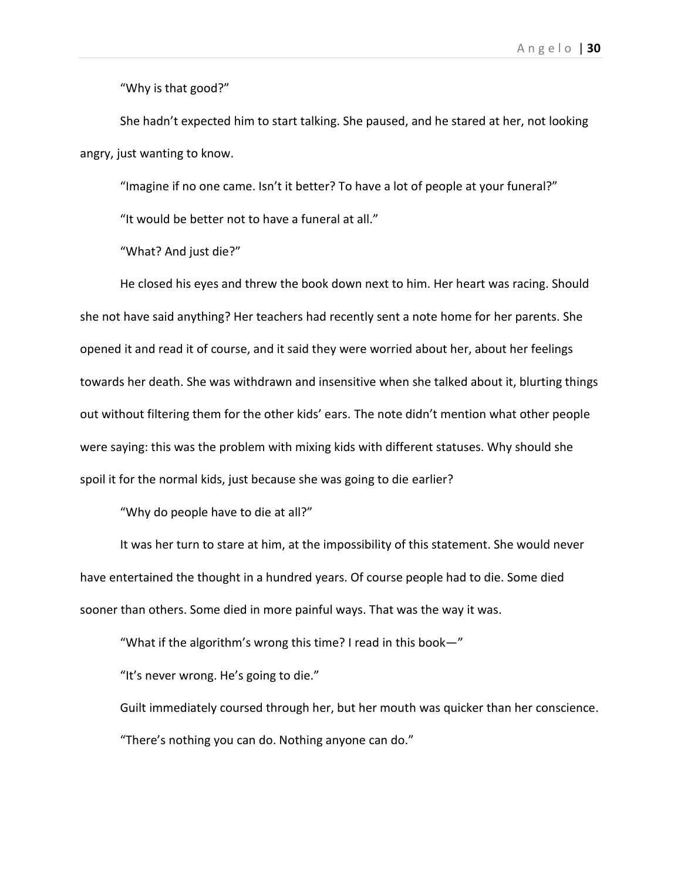"Why is that good?"

She hadn't expected him to start talking. She paused, and he stared at her, not looking angry, just wanting to know.

"Imagine if no one came. Isn't it better? To have a lot of people at your funeral?"

"It would be better not to have a funeral at all."

"What? And just die?"

He closed his eyes and threw the book down next to him. Her heart was racing. Should she not have said anything? Her teachers had recently sent a note home for her parents. She opened it and read it of course, and it said they were worried about her, about her feelings towards her death. She was withdrawn and insensitive when she talked about it, blurting things out without filtering them for the other kids' ears. The note didn't mention what other people were saying: this was the problem with mixing kids with different statuses. Why should she spoil it for the normal kids, just because she was going to die earlier?

"Why do people have to die at all?"

It was her turn to stare at him, at the impossibility of this statement. She would never have entertained the thought in a hundred years. Of course people had to die. Some died sooner than others. Some died in more painful ways. That was the way it was.

"What if the algorithm's wrong this time? I read in this book—"

"It's never wrong. He's going to die."

Guilt immediately coursed through her, but her mouth was quicker than her conscience. "There's nothing you can do. Nothing anyone can do."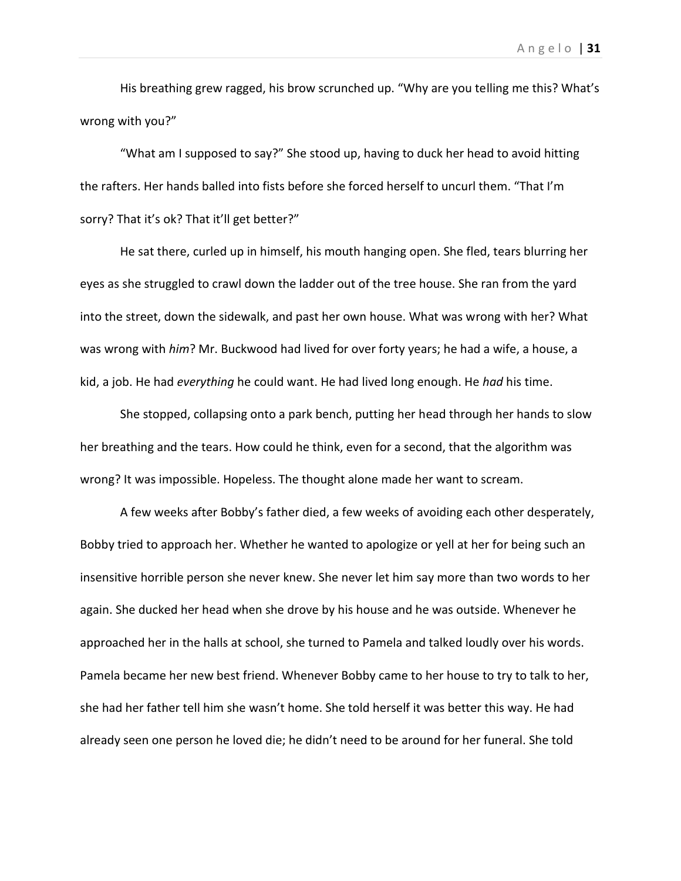His breathing grew ragged, his brow scrunched up. "Why are you telling me this? What's wrong with you?"

"What am I supposed to say?" She stood up, having to duck her head to avoid hitting the rafters. Her hands balled into fists before she forced herself to uncurl them. "That I'm sorry? That it's ok? That it'll get better?"

He sat there, curled up in himself, his mouth hanging open. She fled, tears blurring her eyes as she struggled to crawl down the ladder out of the tree house. She ran from the yard into the street, down the sidewalk, and past her own house. What was wrong with her? What was wrong with *him*? Mr. Buckwood had lived for over forty years; he had a wife, a house, a kid, a job. He had *everything* he could want. He had lived long enough. He *had* his time.

She stopped, collapsing onto a park bench, putting her head through her hands to slow her breathing and the tears. How could he think, even for a second, that the algorithm was wrong? It was impossible. Hopeless. The thought alone made her want to scream.

A few weeks after Bobby's father died, a few weeks of avoiding each other desperately, Bobby tried to approach her. Whether he wanted to apologize or yell at her for being such an insensitive horrible person she never knew. She never let him say more than two words to her again. She ducked her head when she drove by his house and he was outside. Whenever he approached her in the halls at school, she turned to Pamela and talked loudly over his words. Pamela became her new best friend. Whenever Bobby came to her house to try to talk to her, she had her father tell him she wasn't home. She told herself it was better this way. He had already seen one person he loved die; he didn't need to be around for her funeral. She told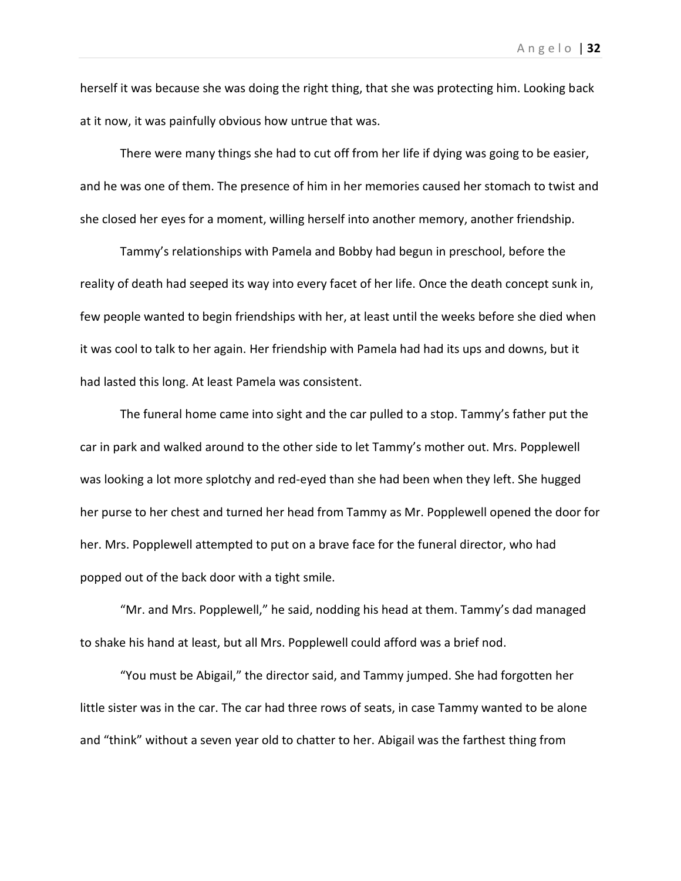herself it was because she was doing the right thing, that she was protecting him. Looking back at it now, it was painfully obvious how untrue that was.

There were many things she had to cut off from her life if dying was going to be easier, and he was one of them. The presence of him in her memories caused her stomach to twist and she closed her eyes for a moment, willing herself into another memory, another friendship.

Tammy's relationships with Pamela and Bobby had begun in preschool, before the reality of death had seeped its way into every facet of her life. Once the death concept sunk in, few people wanted to begin friendships with her, at least until the weeks before she died when it was cool to talk to her again. Her friendship with Pamela had had its ups and downs, but it had lasted this long. At least Pamela was consistent.

The funeral home came into sight and the car pulled to a stop. Tammy's father put the car in park and walked around to the other side to let Tammy's mother out. Mrs. Popplewell was looking a lot more splotchy and red-eyed than she had been when they left. She hugged her purse to her chest and turned her head from Tammy as Mr. Popplewell opened the door for her. Mrs. Popplewell attempted to put on a brave face for the funeral director, who had popped out of the back door with a tight smile.

"Mr. and Mrs. Popplewell," he said, nodding his head at them. Tammy's dad managed to shake his hand at least, but all Mrs. Popplewell could afford was a brief nod.

"You must be Abigail," the director said, and Tammy jumped. She had forgotten her little sister was in the car. The car had three rows of seats, in case Tammy wanted to be alone and "think" without a seven year old to chatter to her. Abigail was the farthest thing from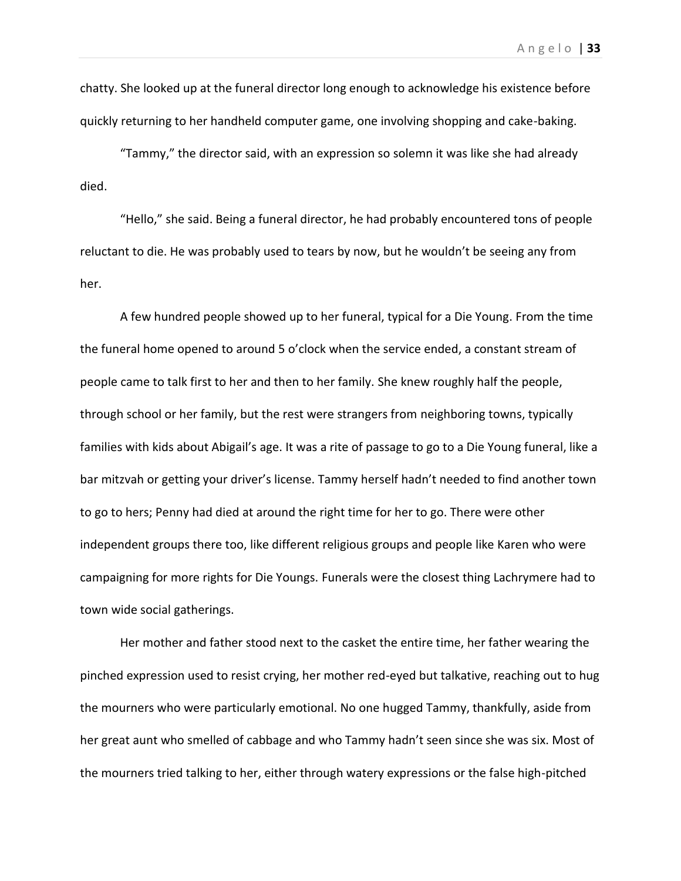chatty. She looked up at the funeral director long enough to acknowledge his existence before quickly returning to her handheld computer game, one involving shopping and cake-baking.

"Tammy," the director said, with an expression so solemn it was like she had already died.

"Hello," she said. Being a funeral director, he had probably encountered tons of people reluctant to die. He was probably used to tears by now, but he wouldn't be seeing any from her.

A few hundred people showed up to her funeral, typical for a Die Young. From the time the funeral home opened to around 5 o'clock when the service ended, a constant stream of people came to talk first to her and then to her family. She knew roughly half the people, through school or her family, but the rest were strangers from neighboring towns, typically families with kids about Abigail's age. It was a rite of passage to go to a Die Young funeral, like a bar mitzvah or getting your driver's license. Tammy herself hadn't needed to find another town to go to hers; Penny had died at around the right time for her to go. There were other independent groups there too, like different religious groups and people like Karen who were campaigning for more rights for Die Youngs. Funerals were the closest thing Lachrymere had to town wide social gatherings.

Her mother and father stood next to the casket the entire time, her father wearing the pinched expression used to resist crying, her mother red-eyed but talkative, reaching out to hug the mourners who were particularly emotional. No one hugged Tammy, thankfully, aside from her great aunt who smelled of cabbage and who Tammy hadn't seen since she was six. Most of the mourners tried talking to her, either through watery expressions or the false high-pitched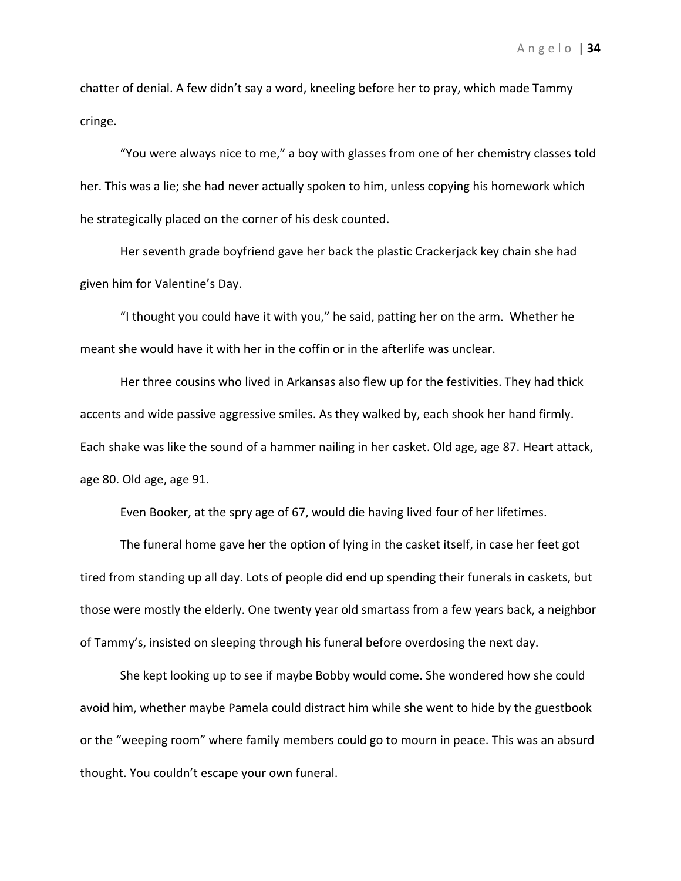chatter of denial. A few didn't say a word, kneeling before her to pray, which made Tammy cringe.

"You were always nice to me," a boy with glasses from one of her chemistry classes told her. This was a lie; she had never actually spoken to him, unless copying his homework which he strategically placed on the corner of his desk counted.

Her seventh grade boyfriend gave her back the plastic Crackerjack key chain she had given him for Valentine's Day.

"I thought you could have it with you," he said, patting her on the arm. Whether he meant she would have it with her in the coffin or in the afterlife was unclear.

Her three cousins who lived in Arkansas also flew up for the festivities. They had thick accents and wide passive aggressive smiles. As they walked by, each shook her hand firmly. Each shake was like the sound of a hammer nailing in her casket. Old age, age 87. Heart attack, age 80. Old age, age 91.

Even Booker, at the spry age of 67, would die having lived four of her lifetimes.

The funeral home gave her the option of lying in the casket itself, in case her feet got tired from standing up all day. Lots of people did end up spending their funerals in caskets, but those were mostly the elderly. One twenty year old smartass from a few years back, a neighbor of Tammy's, insisted on sleeping through his funeral before overdosing the next day.

She kept looking up to see if maybe Bobby would come. She wondered how she could avoid him, whether maybe Pamela could distract him while she went to hide by the guestbook or the "weeping room" where family members could go to mourn in peace. This was an absurd thought. You couldn't escape your own funeral.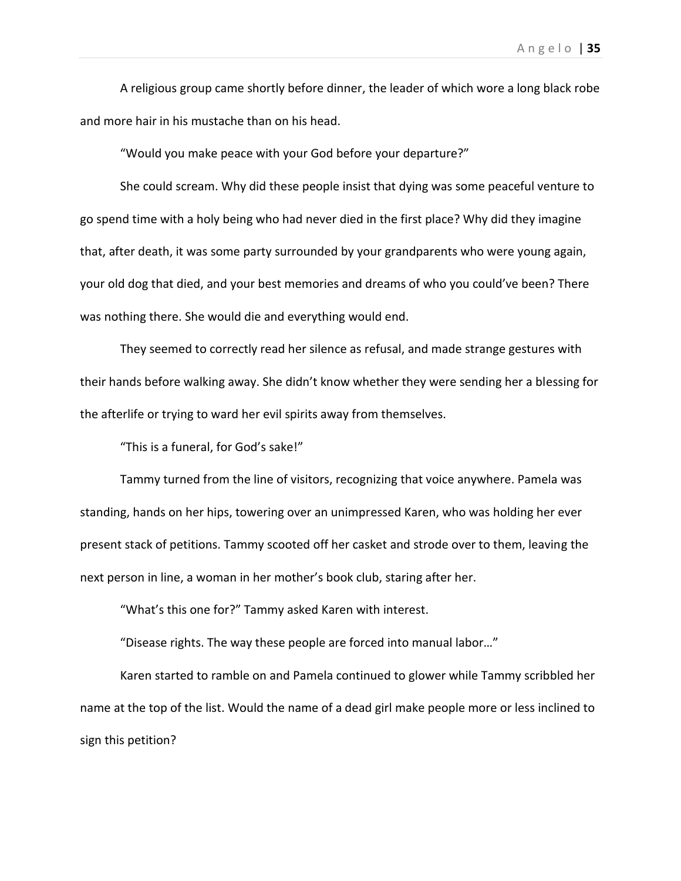A religious group came shortly before dinner, the leader of which wore a long black robe and more hair in his mustache than on his head.

"Would you make peace with your God before your departure?"

She could scream. Why did these people insist that dying was some peaceful venture to go spend time with a holy being who had never died in the first place? Why did they imagine that, after death, it was some party surrounded by your grandparents who were young again, your old dog that died, and your best memories and dreams of who you could've been? There was nothing there. She would die and everything would end.

They seemed to correctly read her silence as refusal, and made strange gestures with their hands before walking away. She didn't know whether they were sending her a blessing for the afterlife or trying to ward her evil spirits away from themselves.

"This is a funeral, for God's sake!"

Tammy turned from the line of visitors, recognizing that voice anywhere. Pamela was standing, hands on her hips, towering over an unimpressed Karen, who was holding her ever present stack of petitions. Tammy scooted off her casket and strode over to them, leaving the next person in line, a woman in her mother's book club, staring after her.

"What's this one for?" Tammy asked Karen with interest.

"Disease rights. The way these people are forced into manual labor…"

Karen started to ramble on and Pamela continued to glower while Tammy scribbled her name at the top of the list. Would the name of a dead girl make people more or less inclined to sign this petition?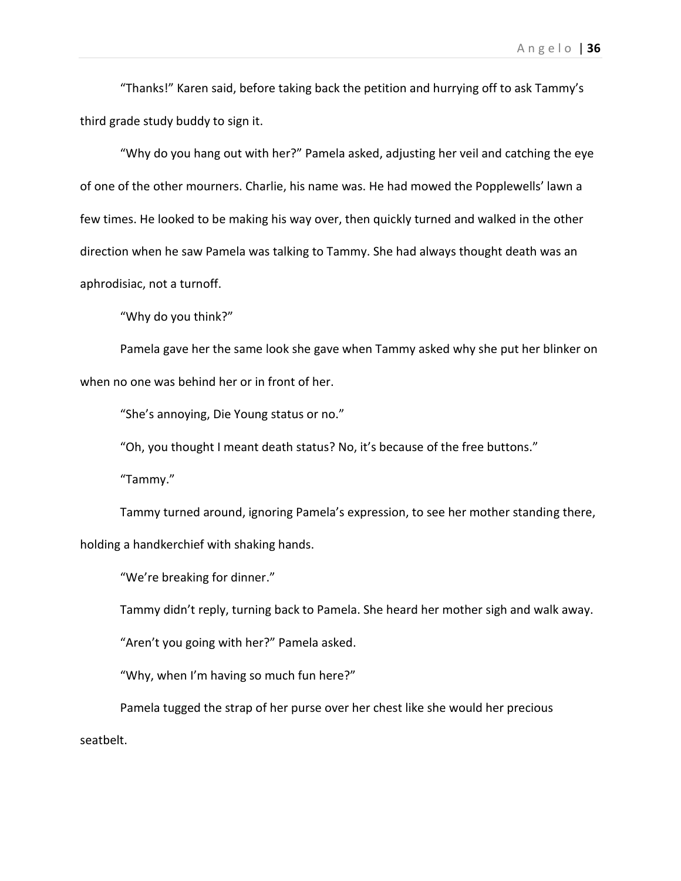"Thanks!" Karen said, before taking back the petition and hurrying off to ask Tammy's third grade study buddy to sign it.

"Why do you hang out with her?" Pamela asked, adjusting her veil and catching the eye of one of the other mourners. Charlie, his name was. He had mowed the Popplewells' lawn a few times. He looked to be making his way over, then quickly turned and walked in the other direction when he saw Pamela was talking to Tammy. She had always thought death was an aphrodisiac, not a turnoff.

"Why do you think?"

Pamela gave her the same look she gave when Tammy asked why she put her blinker on when no one was behind her or in front of her.

"She's annoying, Die Young status or no."

"Oh, you thought I meant death status? No, it's because of the free buttons."

"Tammy."

Tammy turned around, ignoring Pamela's expression, to see her mother standing there, holding a handkerchief with shaking hands.

"We're breaking for dinner."

Tammy didn't reply, turning back to Pamela. She heard her mother sigh and walk away.

"Aren't you going with her?" Pamela asked.

"Why, when I'm having so much fun here?"

Pamela tugged the strap of her purse over her chest like she would her precious seatbelt.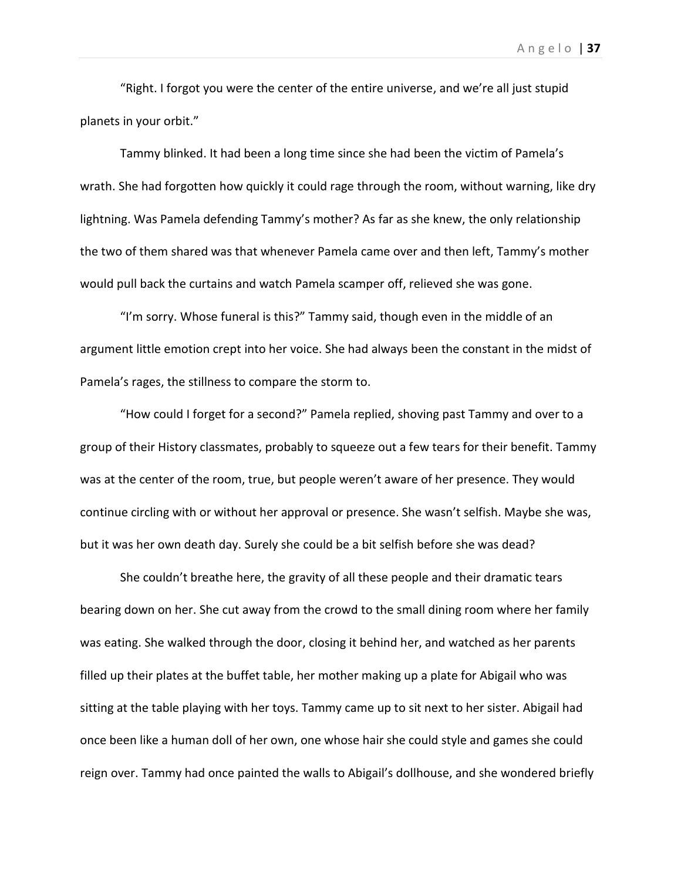"Right. I forgot you were the center of the entire universe, and we're all just stupid planets in your orbit."

Tammy blinked. It had been a long time since she had been the victim of Pamela's wrath. She had forgotten how quickly it could rage through the room, without warning, like dry lightning. Was Pamela defending Tammy's mother? As far as she knew, the only relationship the two of them shared was that whenever Pamela came over and then left, Tammy's mother would pull back the curtains and watch Pamela scamper off, relieved she was gone.

"I'm sorry. Whose funeral is this?" Tammy said, though even in the middle of an argument little emotion crept into her voice. She had always been the constant in the midst of Pamela's rages, the stillness to compare the storm to.

"How could I forget for a second?" Pamela replied, shoving past Tammy and over to a group of their History classmates, probably to squeeze out a few tears for their benefit. Tammy was at the center of the room, true, but people weren't aware of her presence. They would continue circling with or without her approval or presence. She wasn't selfish. Maybe she was, but it was her own death day. Surely she could be a bit selfish before she was dead?

She couldn't breathe here, the gravity of all these people and their dramatic tears bearing down on her. She cut away from the crowd to the small dining room where her family was eating. She walked through the door, closing it behind her, and watched as her parents filled up their plates at the buffet table, her mother making up a plate for Abigail who was sitting at the table playing with her toys. Tammy came up to sit next to her sister. Abigail had once been like a human doll of her own, one whose hair she could style and games she could reign over. Tammy had once painted the walls to Abigail's dollhouse, and she wondered briefly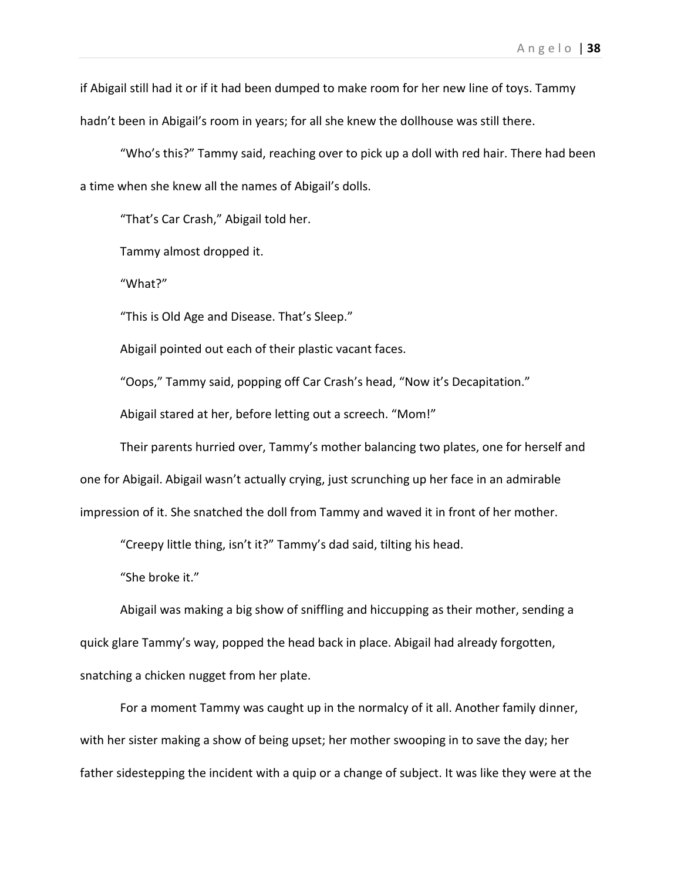if Abigail still had it or if it had been dumped to make room for her new line of toys. Tammy hadn't been in Abigail's room in years; for all she knew the dollhouse was still there.

"Who's this?" Tammy said, reaching over to pick up a doll with red hair. There had been a time when she knew all the names of Abigail's dolls.

"That's Car Crash," Abigail told her.

Tammy almost dropped it.

"What?"

"This is Old Age and Disease. That's Sleep."

Abigail pointed out each of their plastic vacant faces.

"Oops," Tammy said, popping off Car Crash's head, "Now it's Decapitation."

Abigail stared at her, before letting out a screech. "Mom!"

Their parents hurried over, Tammy's mother balancing two plates, one for herself and one for Abigail. Abigail wasn't actually crying, just scrunching up her face in an admirable impression of it. She snatched the doll from Tammy and waved it in front of her mother.

"Creepy little thing, isn't it?" Tammy's dad said, tilting his head.

"She broke it."

Abigail was making a big show of sniffling and hiccupping as their mother, sending a quick glare Tammy's way, popped the head back in place. Abigail had already forgotten, snatching a chicken nugget from her plate.

For a moment Tammy was caught up in the normalcy of it all. Another family dinner, with her sister making a show of being upset; her mother swooping in to save the day; her father sidestepping the incident with a quip or a change of subject. It was like they were at the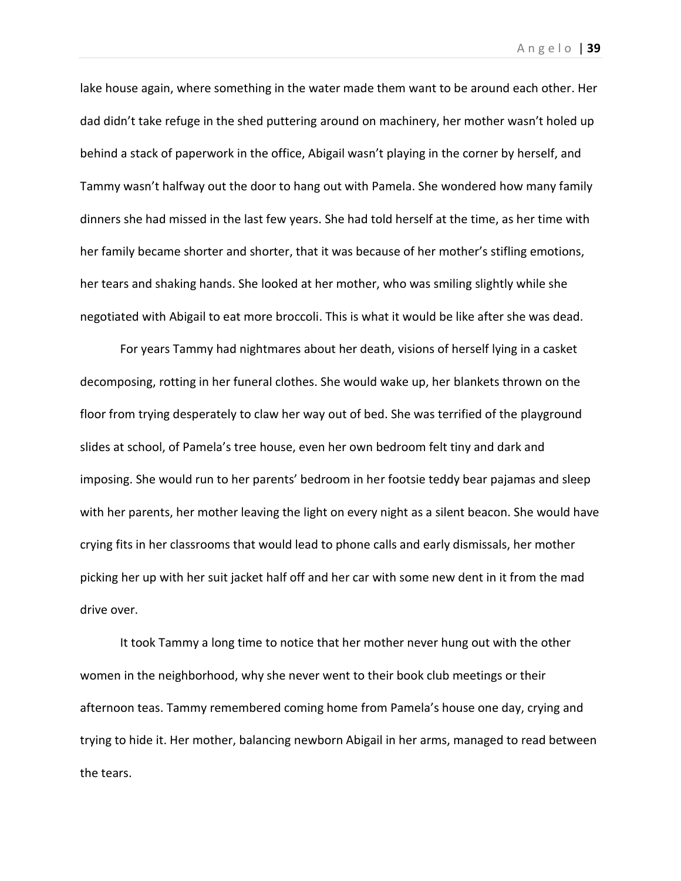lake house again, where something in the water made them want to be around each other. Her dad didn't take refuge in the shed puttering around on machinery, her mother wasn't holed up behind a stack of paperwork in the office, Abigail wasn't playing in the corner by herself, and Tammy wasn't halfway out the door to hang out with Pamela. She wondered how many family dinners she had missed in the last few years. She had told herself at the time, as her time with her family became shorter and shorter, that it was because of her mother's stifling emotions, her tears and shaking hands. She looked at her mother, who was smiling slightly while she negotiated with Abigail to eat more broccoli. This is what it would be like after she was dead.

For years Tammy had nightmares about her death, visions of herself lying in a casket decomposing, rotting in her funeral clothes. She would wake up, her blankets thrown on the floor from trying desperately to claw her way out of bed. She was terrified of the playground slides at school, of Pamela's tree house, even her own bedroom felt tiny and dark and imposing. She would run to her parents' bedroom in her footsie teddy bear pajamas and sleep with her parents, her mother leaving the light on every night as a silent beacon. She would have crying fits in her classrooms that would lead to phone calls and early dismissals, her mother picking her up with her suit jacket half off and her car with some new dent in it from the mad drive over.

It took Tammy a long time to notice that her mother never hung out with the other women in the neighborhood, why she never went to their book club meetings or their afternoon teas. Tammy remembered coming home from Pamela's house one day, crying and trying to hide it. Her mother, balancing newborn Abigail in her arms, managed to read between the tears.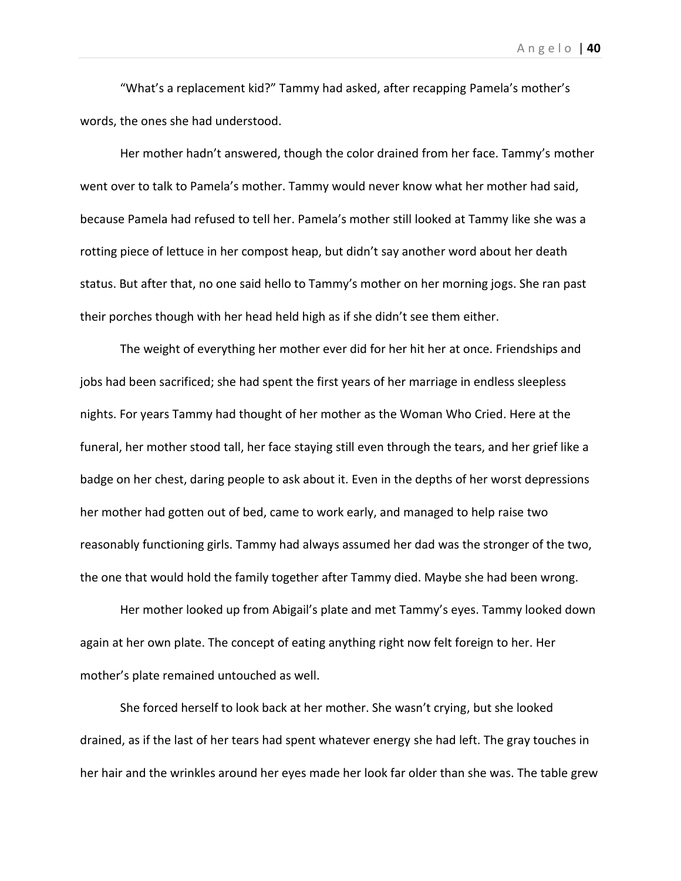"What's a replacement kid?" Tammy had asked, after recapping Pamela's mother's words, the ones she had understood.

Her mother hadn't answered, though the color drained from her face. Tammy's mother went over to talk to Pamela's mother. Tammy would never know what her mother had said, because Pamela had refused to tell her. Pamela's mother still looked at Tammy like she was a rotting piece of lettuce in her compost heap, but didn't say another word about her death status. But after that, no one said hello to Tammy's mother on her morning jogs. She ran past their porches though with her head held high as if she didn't see them either.

The weight of everything her mother ever did for her hit her at once. Friendships and jobs had been sacrificed; she had spent the first years of her marriage in endless sleepless nights. For years Tammy had thought of her mother as the Woman Who Cried. Here at the funeral, her mother stood tall, her face staying still even through the tears, and her grief like a badge on her chest, daring people to ask about it. Even in the depths of her worst depressions her mother had gotten out of bed, came to work early, and managed to help raise two reasonably functioning girls. Tammy had always assumed her dad was the stronger of the two, the one that would hold the family together after Tammy died. Maybe she had been wrong.

Her mother looked up from Abigail's plate and met Tammy's eyes. Tammy looked down again at her own plate. The concept of eating anything right now felt foreign to her. Her mother's plate remained untouched as well.

She forced herself to look back at her mother. She wasn't crying, but she looked drained, as if the last of her tears had spent whatever energy she had left. The gray touches in her hair and the wrinkles around her eyes made her look far older than she was. The table grew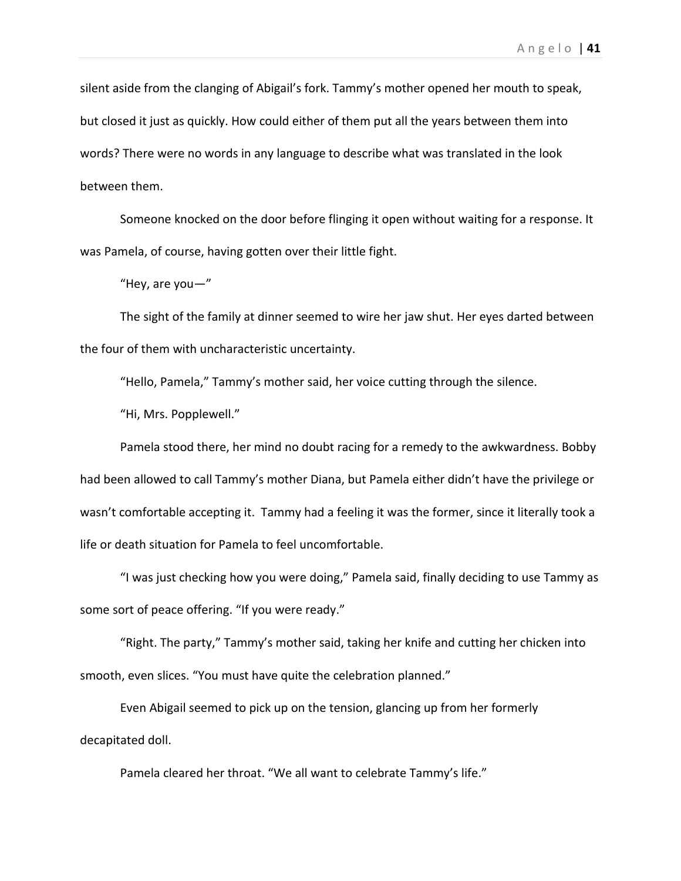silent aside from the clanging of Abigail's fork. Tammy's mother opened her mouth to speak, but closed it just as quickly. How could either of them put all the years between them into words? There were no words in any language to describe what was translated in the look between them.

Someone knocked on the door before flinging it open without waiting for a response. It was Pamela, of course, having gotten over their little fight.

"Hey, are you—"

The sight of the family at dinner seemed to wire her jaw shut. Her eyes darted between the four of them with uncharacteristic uncertainty.

"Hello, Pamela," Tammy's mother said, her voice cutting through the silence.

"Hi, Mrs. Popplewell."

Pamela stood there, her mind no doubt racing for a remedy to the awkwardness. Bobby had been allowed to call Tammy's mother Diana, but Pamela either didn't have the privilege or wasn't comfortable accepting it. Tammy had a feeling it was the former, since it literally took a life or death situation for Pamela to feel uncomfortable.

"I was just checking how you were doing," Pamela said, finally deciding to use Tammy as some sort of peace offering. "If you were ready."

"Right. The party," Tammy's mother said, taking her knife and cutting her chicken into smooth, even slices. "You must have quite the celebration planned."

Even Abigail seemed to pick up on the tension, glancing up from her formerly decapitated doll.

Pamela cleared her throat. "We all want to celebrate Tammy's life."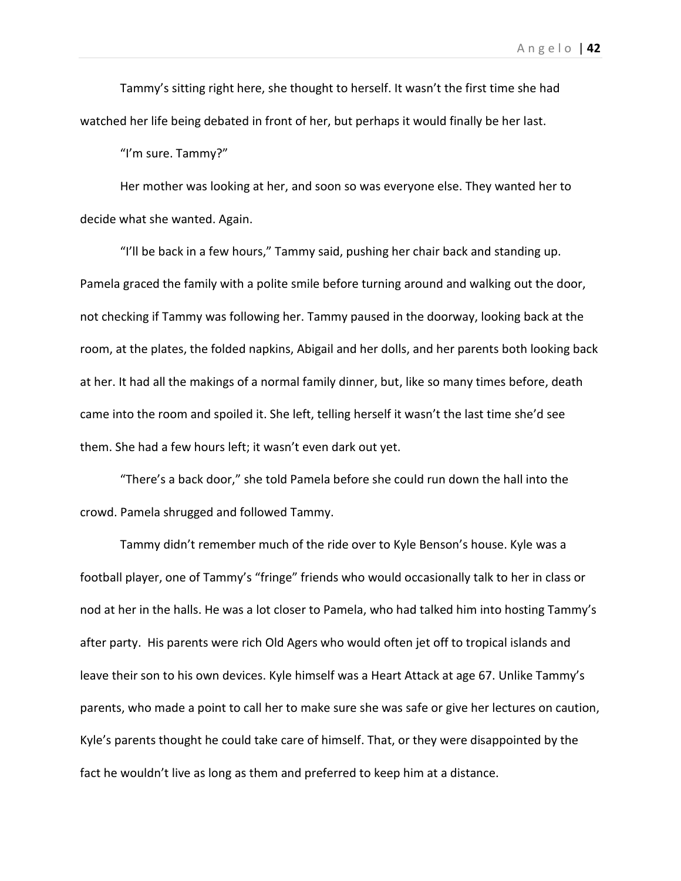Tammy's sitting right here, she thought to herself. It wasn't the first time she had watched her life being debated in front of her, but perhaps it would finally be her last.

"I'm sure. Tammy?"

Her mother was looking at her, and soon so was everyone else. They wanted her to decide what she wanted. Again.

"I'll be back in a few hours," Tammy said, pushing her chair back and standing up. Pamela graced the family with a polite smile before turning around and walking out the door, not checking if Tammy was following her. Tammy paused in the doorway, looking back at the room, at the plates, the folded napkins, Abigail and her dolls, and her parents both looking back at her. It had all the makings of a normal family dinner, but, like so many times before, death came into the room and spoiled it. She left, telling herself it wasn't the last time she'd see them. She had a few hours left; it wasn't even dark out yet.

"There's a back door," she told Pamela before she could run down the hall into the crowd. Pamela shrugged and followed Tammy.

Tammy didn't remember much of the ride over to Kyle Benson's house. Kyle was a football player, one of Tammy's "fringe" friends who would occasionally talk to her in class or nod at her in the halls. He was a lot closer to Pamela, who had talked him into hosting Tammy's after party. His parents were rich Old Agers who would often jet off to tropical islands and leave their son to his own devices. Kyle himself was a Heart Attack at age 67. Unlike Tammy's parents, who made a point to call her to make sure she was safe or give her lectures on caution, Kyle's parents thought he could take care of himself. That, or they were disappointed by the fact he wouldn't live as long as them and preferred to keep him at a distance.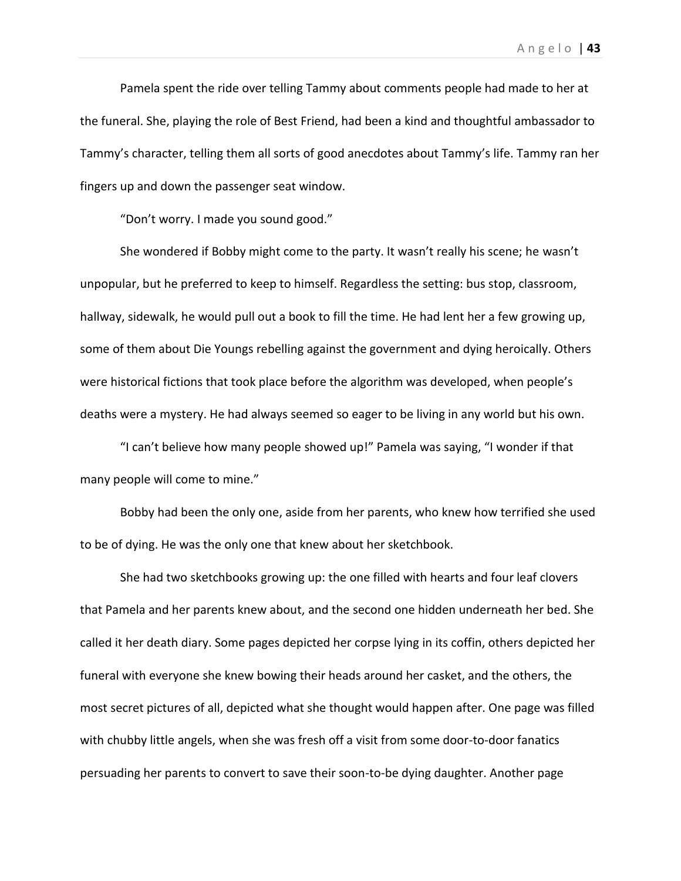Pamela spent the ride over telling Tammy about comments people had made to her at the funeral. She, playing the role of Best Friend, had been a kind and thoughtful ambassador to Tammy's character, telling them all sorts of good anecdotes about Tammy's life. Tammy ran her fingers up and down the passenger seat window.

"Don't worry. I made you sound good."

She wondered if Bobby might come to the party. It wasn't really his scene; he wasn't unpopular, but he preferred to keep to himself. Regardless the setting: bus stop, classroom, hallway, sidewalk, he would pull out a book to fill the time. He had lent her a few growing up, some of them about Die Youngs rebelling against the government and dying heroically. Others were historical fictions that took place before the algorithm was developed, when people's deaths were a mystery. He had always seemed so eager to be living in any world but his own.

"I can't believe how many people showed up!" Pamela was saying, "I wonder if that many people will come to mine."

Bobby had been the only one, aside from her parents, who knew how terrified she used to be of dying. He was the only one that knew about her sketchbook.

She had two sketchbooks growing up: the one filled with hearts and four leaf clovers that Pamela and her parents knew about, and the second one hidden underneath her bed. She called it her death diary. Some pages depicted her corpse lying in its coffin, others depicted her funeral with everyone she knew bowing their heads around her casket, and the others, the most secret pictures of all, depicted what she thought would happen after. One page was filled with chubby little angels, when she was fresh off a visit from some door-to-door fanatics persuading her parents to convert to save their soon-to-be dying daughter. Another page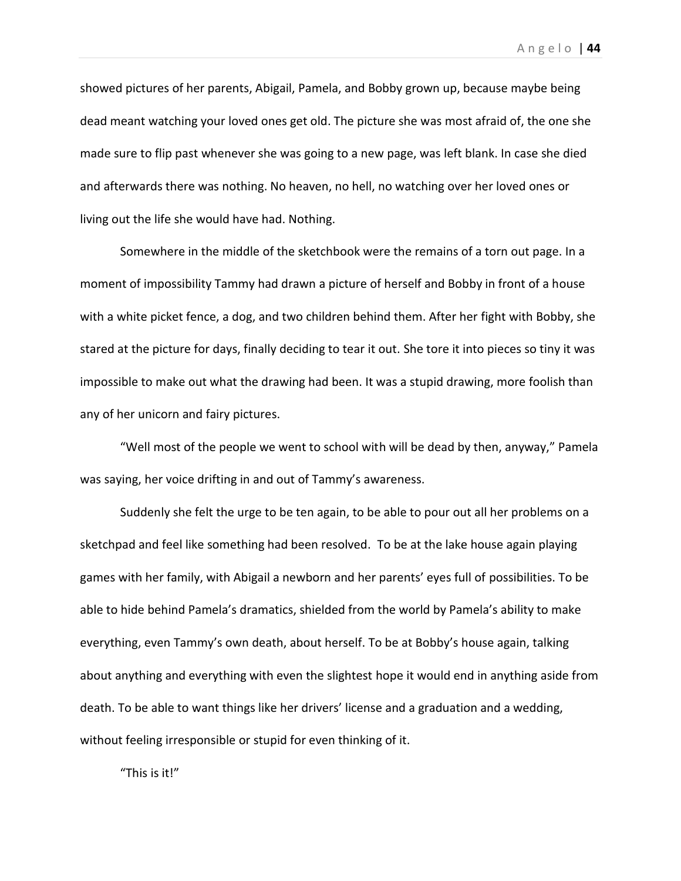showed pictures of her parents, Abigail, Pamela, and Bobby grown up, because maybe being dead meant watching your loved ones get old. The picture she was most afraid of, the one she made sure to flip past whenever she was going to a new page, was left blank. In case she died and afterwards there was nothing. No heaven, no hell, no watching over her loved ones or living out the life she would have had. Nothing.

Somewhere in the middle of the sketchbook were the remains of a torn out page. In a moment of impossibility Tammy had drawn a picture of herself and Bobby in front of a house with a white picket fence, a dog, and two children behind them. After her fight with Bobby, she stared at the picture for days, finally deciding to tear it out. She tore it into pieces so tiny it was impossible to make out what the drawing had been. It was a stupid drawing, more foolish than any of her unicorn and fairy pictures.

"Well most of the people we went to school with will be dead by then, anyway," Pamela was saying, her voice drifting in and out of Tammy's awareness.

Suddenly she felt the urge to be ten again, to be able to pour out all her problems on a sketchpad and feel like something had been resolved. To be at the lake house again playing games with her family, with Abigail a newborn and her parents' eyes full of possibilities. To be able to hide behind Pamela's dramatics, shielded from the world by Pamela's ability to make everything, even Tammy's own death, about herself. To be at Bobby's house again, talking about anything and everything with even the slightest hope it would end in anything aside from death. To be able to want things like her drivers' license and a graduation and a wedding, without feeling irresponsible or stupid for even thinking of it.

"This is it!"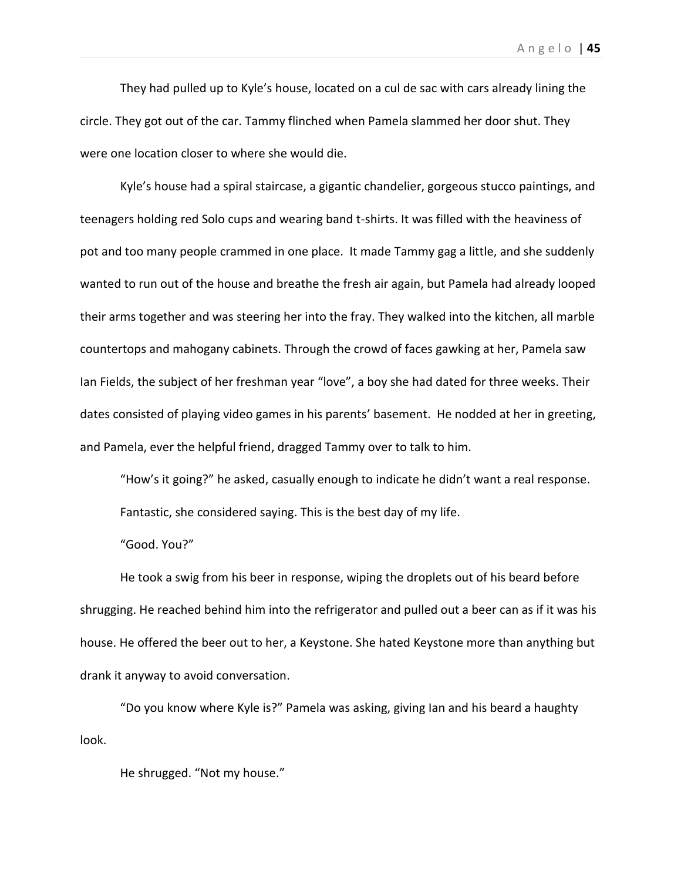They had pulled up to Kyle's house, located on a cul de sac with cars already lining the circle. They got out of the car. Tammy flinched when Pamela slammed her door shut. They were one location closer to where she would die.

Kyle's house had a spiral staircase, a gigantic chandelier, gorgeous stucco paintings, and teenagers holding red Solo cups and wearing band t-shirts. It was filled with the heaviness of pot and too many people crammed in one place. It made Tammy gag a little, and she suddenly wanted to run out of the house and breathe the fresh air again, but Pamela had already looped their arms together and was steering her into the fray. They walked into the kitchen, all marble countertops and mahogany cabinets. Through the crowd of faces gawking at her, Pamela saw Ian Fields, the subject of her freshman year "love", a boy she had dated for three weeks. Their dates consisted of playing video games in his parents' basement. He nodded at her in greeting, and Pamela, ever the helpful friend, dragged Tammy over to talk to him.

"How's it going?" he asked, casually enough to indicate he didn't want a real response. Fantastic, she considered saying. This is the best day of my life.

"Good. You?"

He took a swig from his beer in response, wiping the droplets out of his beard before shrugging. He reached behind him into the refrigerator and pulled out a beer can as if it was his house. He offered the beer out to her, a Keystone. She hated Keystone more than anything but drank it anyway to avoid conversation.

"Do you know where Kyle is?" Pamela was asking, giving Ian and his beard a haughty look.

He shrugged. "Not my house."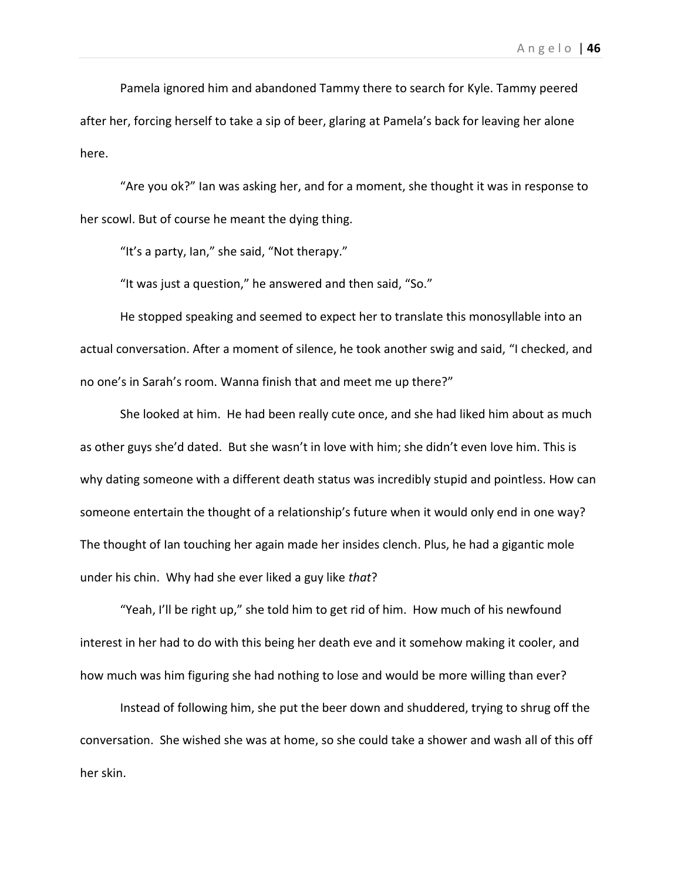Pamela ignored him and abandoned Tammy there to search for Kyle. Tammy peered after her, forcing herself to take a sip of beer, glaring at Pamela's back for leaving her alone here.

"Are you ok?" Ian was asking her, and for a moment, she thought it was in response to her scowl. But of course he meant the dying thing.

"It's a party, Ian," she said, "Not therapy."

"It was just a question," he answered and then said, "So."

He stopped speaking and seemed to expect her to translate this monosyllable into an actual conversation. After a moment of silence, he took another swig and said, "I checked, and no one's in Sarah's room. Wanna finish that and meet me up there?"

She looked at him. He had been really cute once, and she had liked him about as much as other guys she'd dated. But she wasn't in love with him; she didn't even love him. This is why dating someone with a different death status was incredibly stupid and pointless. How can someone entertain the thought of a relationship's future when it would only end in one way? The thought of Ian touching her again made her insides clench. Plus, he had a gigantic mole under his chin. Why had she ever liked a guy like *that*?

"Yeah, I'll be right up," she told him to get rid of him. How much of his newfound interest in her had to do with this being her death eve and it somehow making it cooler, and how much was him figuring she had nothing to lose and would be more willing than ever?

Instead of following him, she put the beer down and shuddered, trying to shrug off the conversation. She wished she was at home, so she could take a shower and wash all of this off her skin.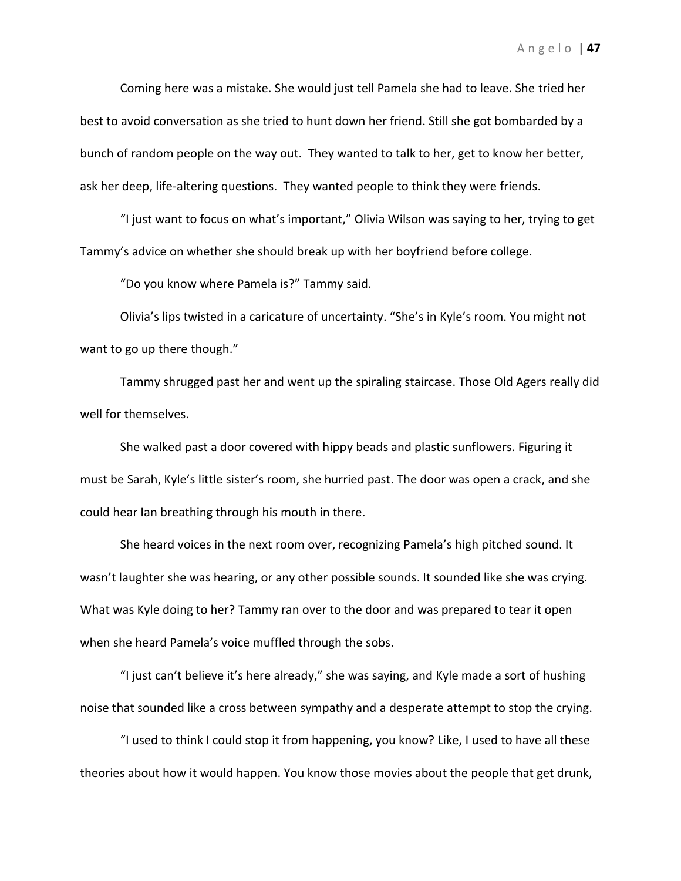Coming here was a mistake. She would just tell Pamela she had to leave. She tried her best to avoid conversation as she tried to hunt down her friend. Still she got bombarded by a bunch of random people on the way out. They wanted to talk to her, get to know her better, ask her deep, life-altering questions. They wanted people to think they were friends.

"I just want to focus on what's important," Olivia Wilson was saying to her, trying to get Tammy's advice on whether she should break up with her boyfriend before college.

"Do you know where Pamela is?" Tammy said.

Olivia's lips twisted in a caricature of uncertainty. "She's in Kyle's room. You might not want to go up there though."

Tammy shrugged past her and went up the spiraling staircase. Those Old Agers really did well for themselves.

She walked past a door covered with hippy beads and plastic sunflowers. Figuring it must be Sarah, Kyle's little sister's room, she hurried past. The door was open a crack, and she could hear Ian breathing through his mouth in there.

She heard voices in the next room over, recognizing Pamela's high pitched sound. It wasn't laughter she was hearing, or any other possible sounds. It sounded like she was crying. What was Kyle doing to her? Tammy ran over to the door and was prepared to tear it open when she heard Pamela's voice muffled through the sobs.

"I just can't believe it's here already," she was saying, and Kyle made a sort of hushing noise that sounded like a cross between sympathy and a desperate attempt to stop the crying.

"I used to think I could stop it from happening, you know? Like, I used to have all these theories about how it would happen. You know those movies about the people that get drunk,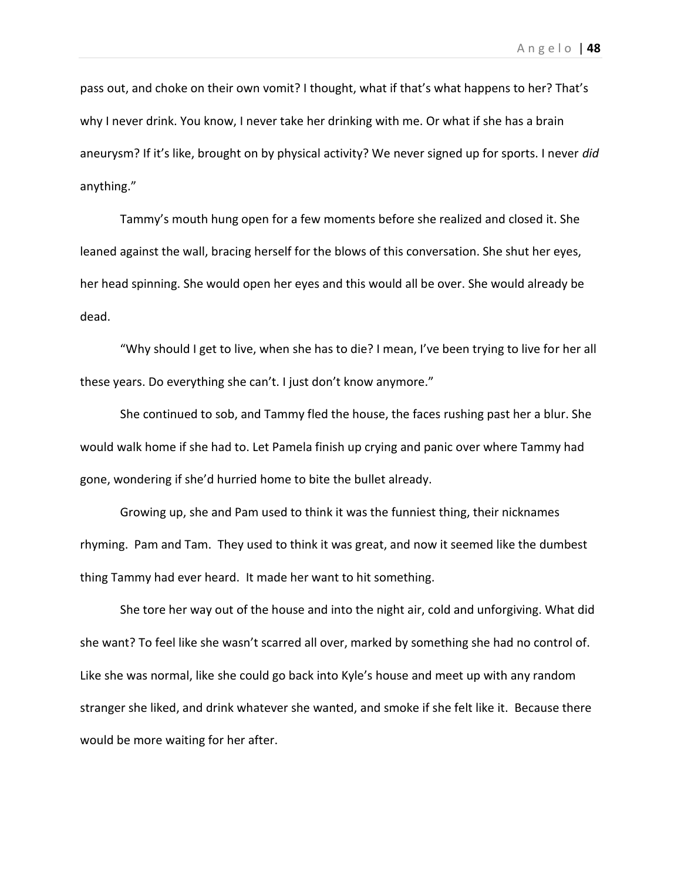pass out, and choke on their own vomit? I thought, what if that's what happens to her? That's why I never drink. You know, I never take her drinking with me. Or what if she has a brain aneurysm? If it's like, brought on by physical activity? We never signed up for sports. I never *did*  anything."

Tammy's mouth hung open for a few moments before she realized and closed it. She leaned against the wall, bracing herself for the blows of this conversation. She shut her eyes, her head spinning. She would open her eyes and this would all be over. She would already be dead.

"Why should I get to live, when she has to die? I mean, I've been trying to live for her all these years. Do everything she can't. I just don't know anymore."

She continued to sob, and Tammy fled the house, the faces rushing past her a blur. She would walk home if she had to. Let Pamela finish up crying and panic over where Tammy had gone, wondering if she'd hurried home to bite the bullet already.

Growing up, she and Pam used to think it was the funniest thing, their nicknames rhyming. Pam and Tam. They used to think it was great, and now it seemed like the dumbest thing Tammy had ever heard. It made her want to hit something.

She tore her way out of the house and into the night air, cold and unforgiving. What did she want? To feel like she wasn't scarred all over, marked by something she had no control of. Like she was normal, like she could go back into Kyle's house and meet up with any random stranger she liked, and drink whatever she wanted, and smoke if she felt like it. Because there would be more waiting for her after.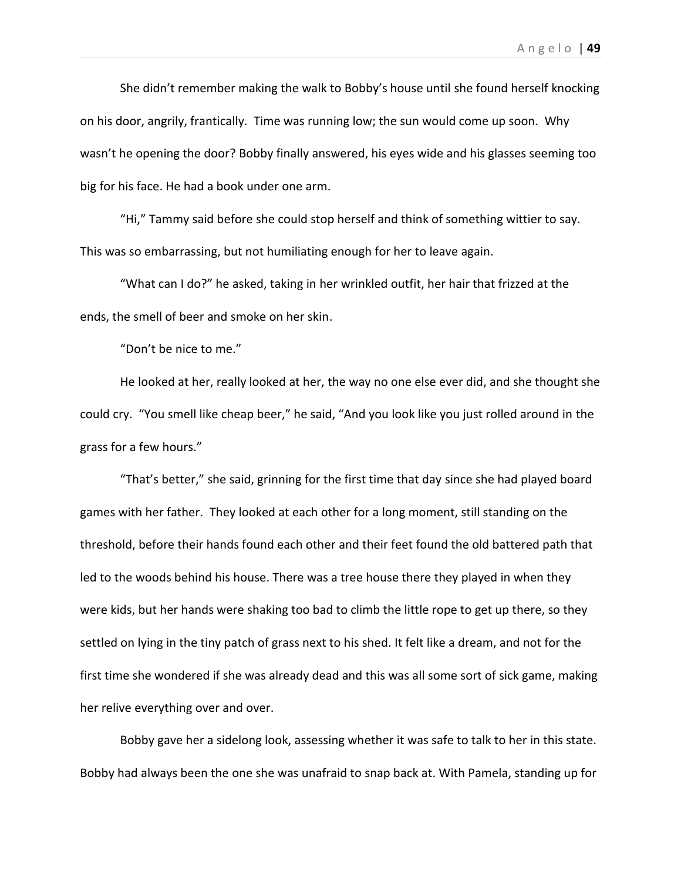She didn't remember making the walk to Bobby's house until she found herself knocking on his door, angrily, frantically. Time was running low; the sun would come up soon. Why wasn't he opening the door? Bobby finally answered, his eyes wide and his glasses seeming too big for his face. He had a book under one arm.

"Hi," Tammy said before she could stop herself and think of something wittier to say. This was so embarrassing, but not humiliating enough for her to leave again.

"What can I do?" he asked, taking in her wrinkled outfit, her hair that frizzed at the ends, the smell of beer and smoke on her skin.

"Don't be nice to me."

He looked at her, really looked at her, the way no one else ever did, and she thought she could cry. "You smell like cheap beer," he said, "And you look like you just rolled around in the grass for a few hours."

"That's better," she said, grinning for the first time that day since she had played board games with her father. They looked at each other for a long moment, still standing on the threshold, before their hands found each other and their feet found the old battered path that led to the woods behind his house. There was a tree house there they played in when they were kids, but her hands were shaking too bad to climb the little rope to get up there, so they settled on lying in the tiny patch of grass next to his shed. It felt like a dream, and not for the first time she wondered if she was already dead and this was all some sort of sick game, making her relive everything over and over.

Bobby gave her a sidelong look, assessing whether it was safe to talk to her in this state. Bobby had always been the one she was unafraid to snap back at. With Pamela, standing up for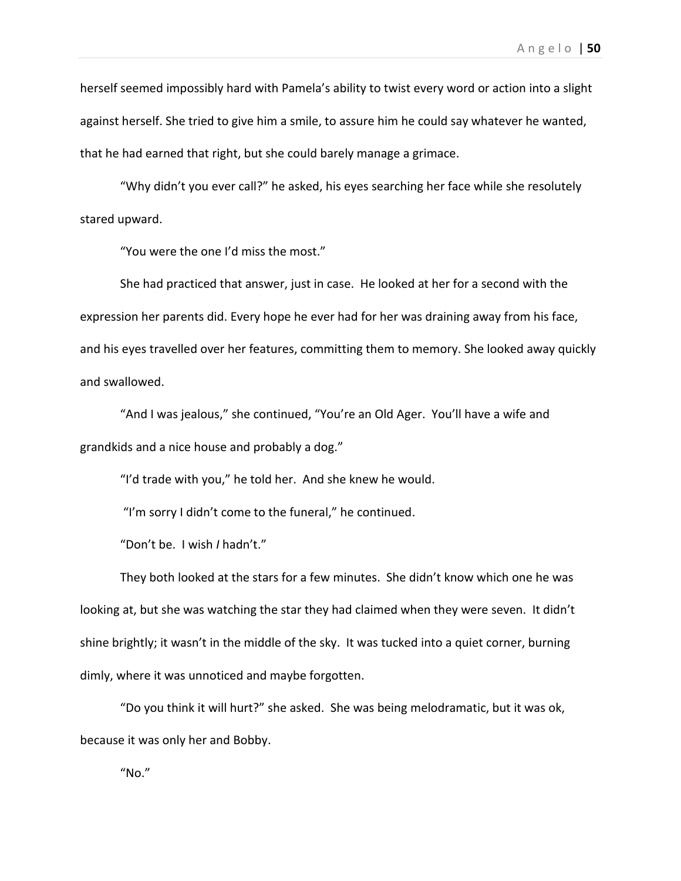herself seemed impossibly hard with Pamela's ability to twist every word or action into a slight against herself. She tried to give him a smile, to assure him he could say whatever he wanted, that he had earned that right, but she could barely manage a grimace.

"Why didn't you ever call?" he asked, his eyes searching her face while she resolutely stared upward.

"You were the one I'd miss the most."

She had practiced that answer, just in case. He looked at her for a second with the expression her parents did. Every hope he ever had for her was draining away from his face, and his eyes travelled over her features, committing them to memory. She looked away quickly and swallowed.

"And I was jealous," she continued, "You're an Old Ager. You'll have a wife and grandkids and a nice house and probably a dog."

"I'd trade with you," he told her. And she knew he would.

"I'm sorry I didn't come to the funeral," he continued.

"Don't be. I wish *I* hadn't."

They both looked at the stars for a few minutes. She didn't know which one he was looking at, but she was watching the star they had claimed when they were seven. It didn't shine brightly; it wasn't in the middle of the sky. It was tucked into a quiet corner, burning dimly, where it was unnoticed and maybe forgotten.

"Do you think it will hurt?" she asked. She was being melodramatic, but it was ok, because it was only her and Bobby.

"No."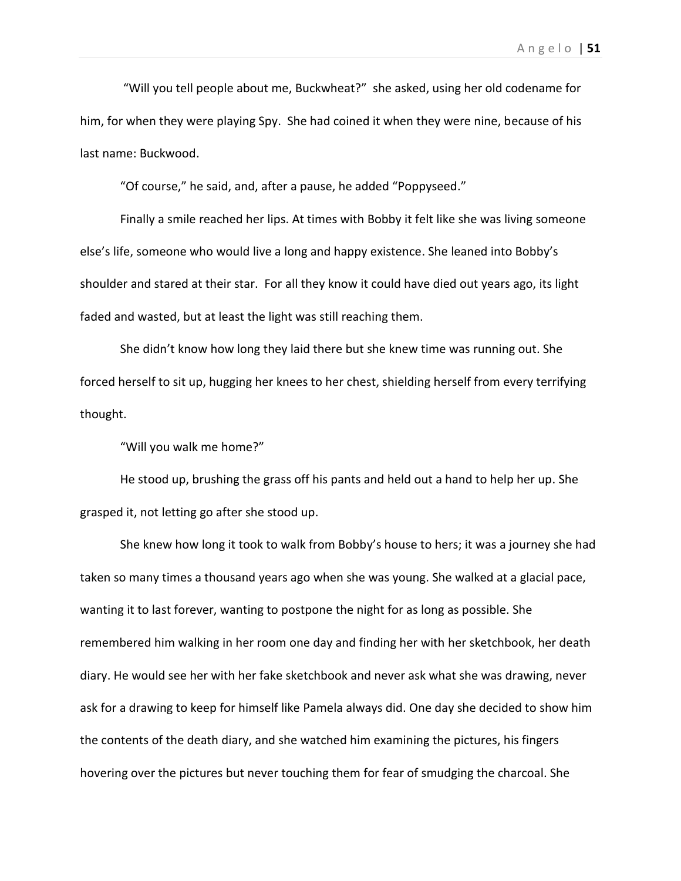"Will you tell people about me, Buckwheat?" she asked, using her old codename for him, for when they were playing Spy. She had coined it when they were nine, because of his last name: Buckwood.

"Of course," he said, and, after a pause, he added "Poppyseed."

Finally a smile reached her lips. At times with Bobby it felt like she was living someone else's life, someone who would live a long and happy existence. She leaned into Bobby's shoulder and stared at their star. For all they know it could have died out years ago, its light faded and wasted, but at least the light was still reaching them.

She didn't know how long they laid there but she knew time was running out. She forced herself to sit up, hugging her knees to her chest, shielding herself from every terrifying thought.

"Will you walk me home?"

He stood up, brushing the grass off his pants and held out a hand to help her up. She grasped it, not letting go after she stood up.

She knew how long it took to walk from Bobby's house to hers; it was a journey she had taken so many times a thousand years ago when she was young. She walked at a glacial pace, wanting it to last forever, wanting to postpone the night for as long as possible. She remembered him walking in her room one day and finding her with her sketchbook, her death diary. He would see her with her fake sketchbook and never ask what she was drawing, never ask for a drawing to keep for himself like Pamela always did. One day she decided to show him the contents of the death diary, and she watched him examining the pictures, his fingers hovering over the pictures but never touching them for fear of smudging the charcoal. She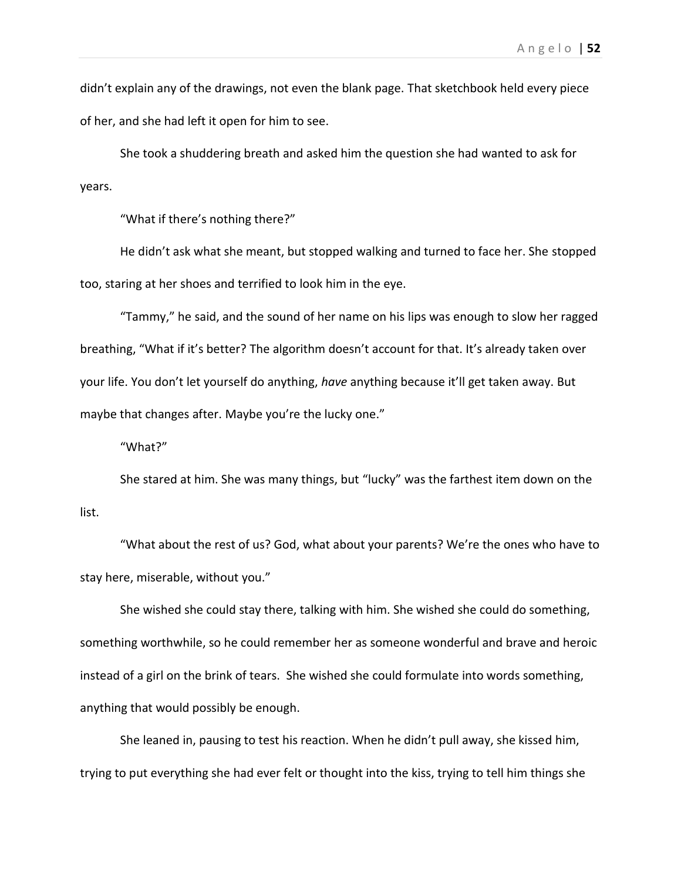didn't explain any of the drawings, not even the blank page. That sketchbook held every piece of her, and she had left it open for him to see.

She took a shuddering breath and asked him the question she had wanted to ask for years.

"What if there's nothing there?"

He didn't ask what she meant, but stopped walking and turned to face her. She stopped too, staring at her shoes and terrified to look him in the eye.

"Tammy," he said, and the sound of her name on his lips was enough to slow her ragged breathing, "What if it's better? The algorithm doesn't account for that. It's already taken over your life. You don't let yourself do anything, *have* anything because it'll get taken away. But maybe that changes after. Maybe you're the lucky one."

"What?"

She stared at him. She was many things, but "lucky" was the farthest item down on the list.

"What about the rest of us? God, what about your parents? We're the ones who have to stay here, miserable, without you."

She wished she could stay there, talking with him. She wished she could do something, something worthwhile, so he could remember her as someone wonderful and brave and heroic instead of a girl on the brink of tears. She wished she could formulate into words something, anything that would possibly be enough.

She leaned in, pausing to test his reaction. When he didn't pull away, she kissed him, trying to put everything she had ever felt or thought into the kiss, trying to tell him things she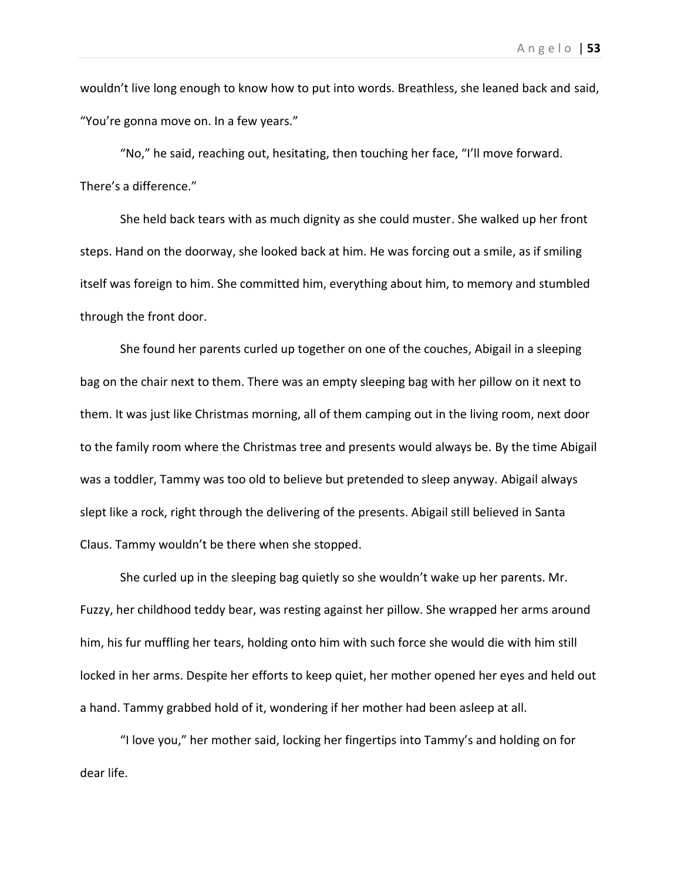wouldn't live long enough to know how to put into words. Breathless, she leaned back and said, "You're gonna move on. In a few years."

"No," he said, reaching out, hesitating, then touching her face, "I'll move forward. There's a difference."

She held back tears with as much dignity as she could muster. She walked up her front steps. Hand on the doorway, she looked back at him. He was forcing out a smile, as if smiling itself was foreign to him. She committed him, everything about him, to memory and stumbled through the front door.

She found her parents curled up together on one of the couches, Abigail in a sleeping bag on the chair next to them. There was an empty sleeping bag with her pillow on it next to them. It was just like Christmas morning, all of them camping out in the living room, next door to the family room where the Christmas tree and presents would always be. By the time Abigail was a toddler, Tammy was too old to believe but pretended to sleep anyway. Abigail always slept like a rock, right through the delivering of the presents. Abigail still believed in Santa Claus. Tammy wouldn't be there when she stopped.

She curled up in the sleeping bag quietly so she wouldn't wake up her parents. Mr. Fuzzy, her childhood teddy bear, was resting against her pillow. She wrapped her arms around him, his fur muffling her tears, holding onto him with such force she would die with him still locked in her arms. Despite her efforts to keep quiet, her mother opened her eyes and held out a hand. Tammy grabbed hold of it, wondering if her mother had been asleep at all.

"I love you," her mother said, locking her fingertips into Tammy's and holding on for dear life.